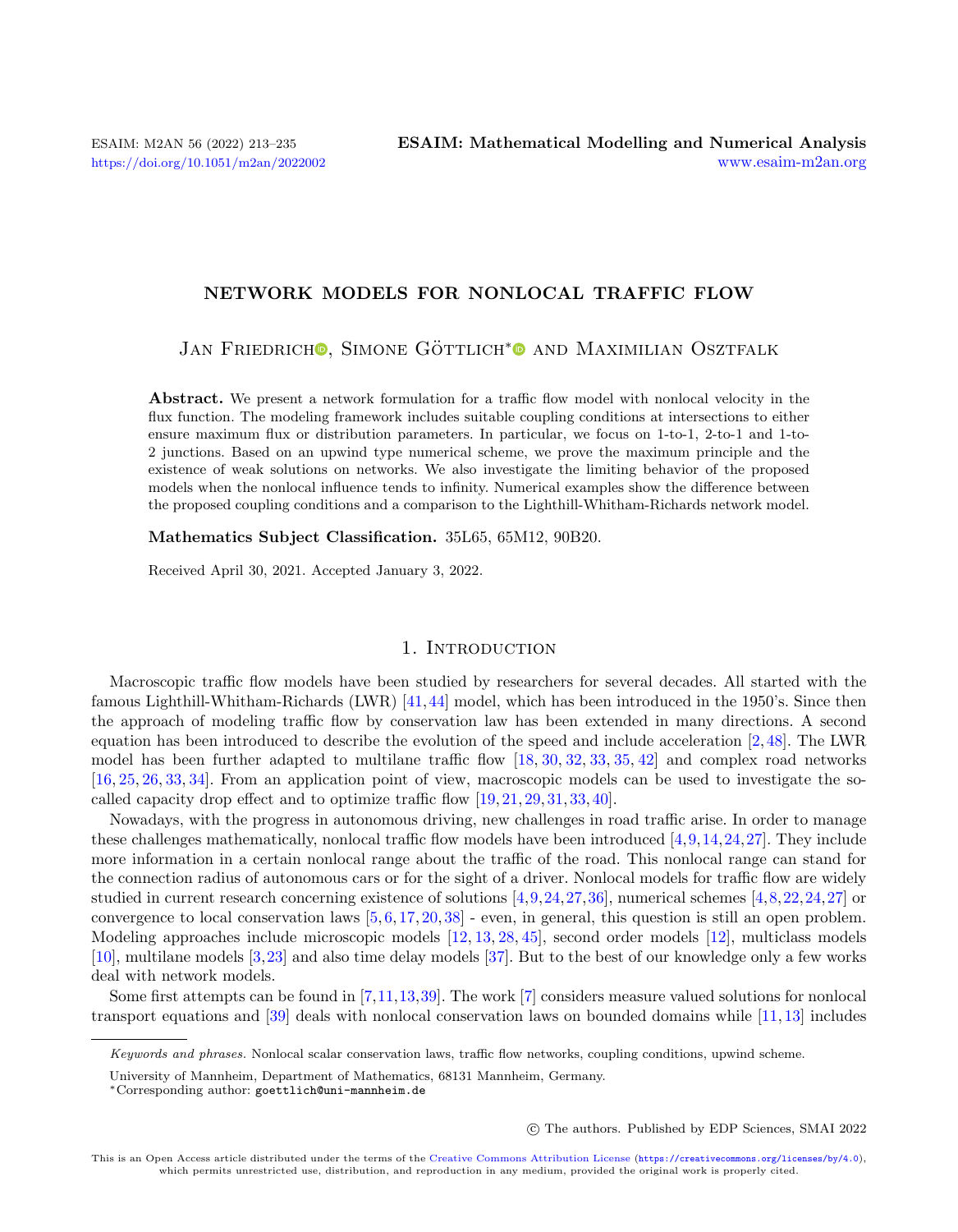# NETWORK MODELS FOR NONLOCAL TRAFFIC FLOW

JAN FRIEDRICH<sup>O</sup>[,](https://orcid.org/0000-0002-6961-8998) SIMONE GÖTTLICH<sup>[\\*](https://orcid.org/0000-0002-8512-4525)</sup><sup>O</sup> AND MAXIMILIAN OSZTFALK

Abstract. We present a network formulation for a traffic flow model with nonlocal velocity in the flux function. The modeling framework includes suitable coupling conditions at intersections to either ensure maximum flux or distribution parameters. In particular, we focus on 1-to-1, 2-to-1 and 1-to-2 junctions. Based on an upwind type numerical scheme, we prove the maximum principle and the existence of weak solutions on networks. We also investigate the limiting behavior of the proposed models when the nonlocal influence tends to infinity. Numerical examples show the difference between the proposed coupling conditions and a comparison to the Lighthill-Whitham-Richards network model.

Mathematics Subject Classification. 35L65, 65M12, 90B20.

Received April 30, 2021. Accepted January 3, 2022.

# 1. Introduction

Macroscopic traffic flow models have been studied by researchers for several decades. All started with the famous Lighthill-Whitham-Richards (LWR) [\[41,](#page-22-0)[44\]](#page-22-1) model, which has been introduced in the 1950's. Since then the approach of modeling traffic flow by conservation law has been extended in many directions. A second equation has been introduced to describe the evolution of the speed and include acceleration [\[2,](#page-20-0) [48\]](#page-22-2). The LWR model has been further adapted to multilane traffic flow  $[18, 30, 32, 33, 35, 42]$  $[18, 30, 32, 33, 35, 42]$  $[18, 30, 32, 33, 35, 42]$  $[18, 30, 32, 33, 35, 42]$  $[18, 30, 32, 33, 35, 42]$  $[18, 30, 32, 33, 35, 42]$  $[18, 30, 32, 33, 35, 42]$  $[18, 30, 32, 33, 35, 42]$  $[18, 30, 32, 33, 35, 42]$  $[18, 30, 32, 33, 35, 42]$  $[18, 30, 32, 33, 35, 42]$  and complex road networks [\[16,](#page-21-5) [25,](#page-21-6) [26,](#page-21-7) [33,](#page-21-3) [34\]](#page-21-8). From an application point of view, macroscopic models can be used to investigate the socalled capacity drop effect and to optimize traffic flow [\[19,](#page-21-9) [21,](#page-21-10) [29,](#page-21-11) [31,](#page-21-12) [33,](#page-21-3) [40\]](#page-22-4).

Nowadays, with the progress in autonomous driving, new challenges in road traffic arise. In order to manage these challenges mathematically, nonlocal traffic flow models have been introduced  $[4,9,14,24,27]$  $[4,9,14,24,27]$  $[4,9,14,24,27]$  $[4,9,14,24,27]$  $[4,9,14,24,27]$ . They include more information in a certain nonlocal range about the traffic of the road. This nonlocal range can stand for the connection radius of autonomous cars or for the sight of a driver. Nonlocal models for traffic flow are widely studied in current research concerning existence of solutions [\[4,](#page-21-13)[9,](#page-21-14)[24,](#page-21-16)[27,](#page-21-17)[36\]](#page-21-18), numerical schemes [\[4,](#page-21-13)[8,](#page-21-19)[22,](#page-21-20)[24,](#page-21-16)[27\]](#page-21-17) or convergence to local conservation laws  $[5, 6, 17, 20, 38]$  $[5, 6, 17, 20, 38]$  $[5, 6, 17, 20, 38]$  $[5, 6, 17, 20, 38]$  $[5, 6, 17, 20, 38]$  $[5, 6, 17, 20, 38]$  $[5, 6, 17, 20, 38]$  $[5, 6, 17, 20, 38]$  $[5, 6, 17, 20, 38]$  - even, in general, this question is still an open problem. Modeling approaches include microscopic models [\[12,](#page-21-26) [13,](#page-21-27) [28,](#page-21-28) [45\]](#page-22-5), second order models [\[12\]](#page-21-26), multiclass models [\[10\]](#page-21-29), multilane models [\[3,](#page-20-1)[23\]](#page-21-30) and also time delay models [\[37\]](#page-21-31). But to the best of our knowledge only a few works deal with network models.

Some first attempts can be found in [\[7,](#page-21-32)[11,](#page-21-33)[13,](#page-21-27)[39\]](#page-22-6). The work [\[7\]](#page-21-32) considers measure valued solutions for nonlocal transport equations and [\[39\]](#page-22-6) deals with nonlocal conservation laws on bounded domains while [\[11,](#page-21-33) [13\]](#page-21-27) includes

○c The authors. Published by EDP Sciences, SMAI 2022

Keywords and phrases. Nonlocal scalar conservation laws, traffic flow networks, coupling conditions, upwind scheme.

University of Mannheim, Department of Mathematics, 68131 Mannheim, Germany.

<sup>\*</sup>Corresponding author: [goettlich@uni-mannheim.de](mailto:goettlich@uni-mannheim.de)

This is an Open Access article distributed under the terms of the [Creative Commons Attribution License](https://creativecommons.org/licenses/by/4.0/) (<https://creativecommons.org/licenses/by/4.0>), which permits unrestricted use, distribution, and reproduction in any medium, provided the original work is properly cited.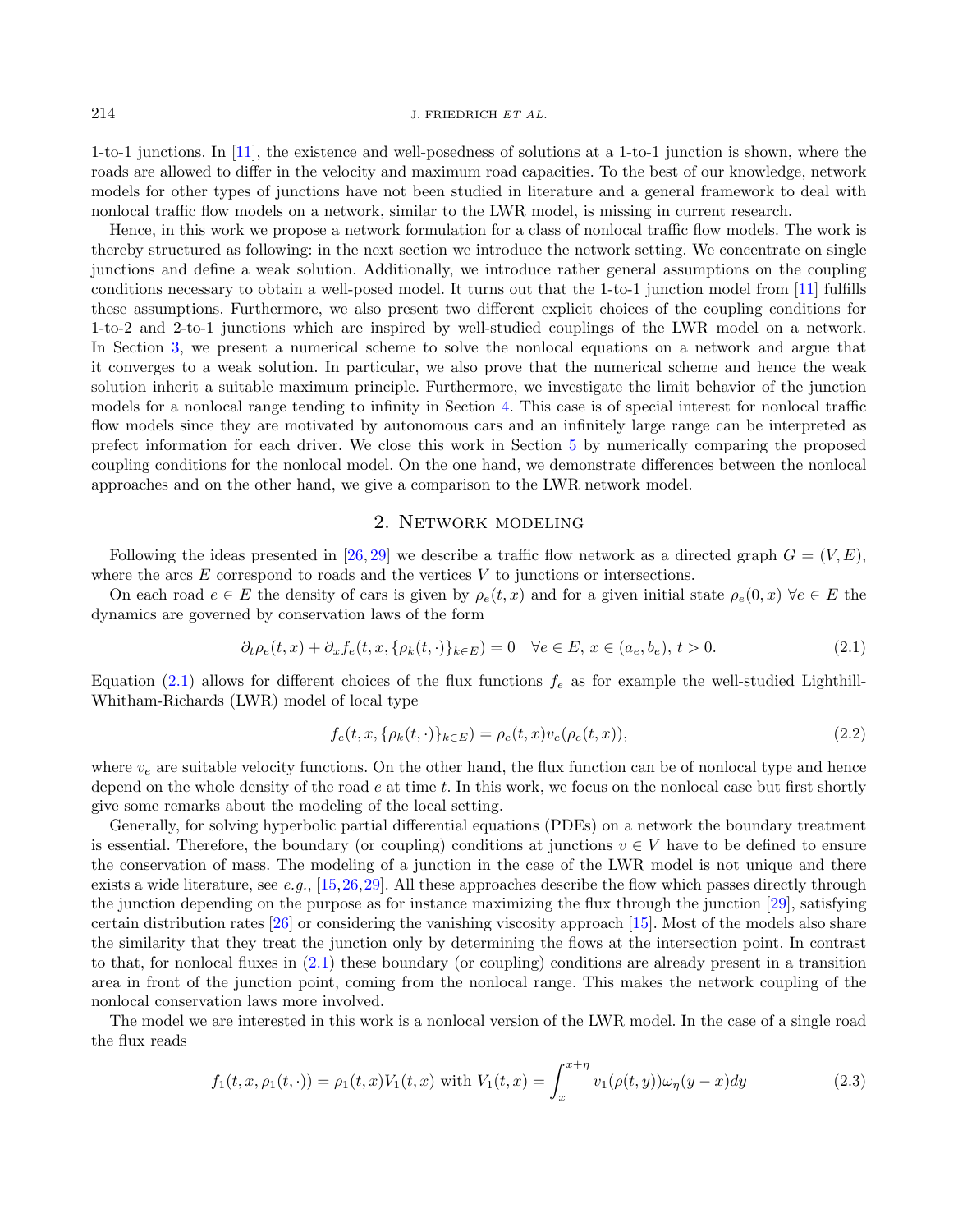1-to-1 junctions. In [\[11\]](#page-21-33), the existence and well-posedness of solutions at a 1-to-1 junction is shown, where the roads are allowed to differ in the velocity and maximum road capacities. To the best of our knowledge, network models for other types of junctions have not been studied in literature and a general framework to deal with nonlocal traffic flow models on a network, similar to the LWR model, is missing in current research.

Hence, in this work we propose a network formulation for a class of nonlocal traffic flow models. The work is thereby structured as following: in the next section we introduce the network setting. We concentrate on single junctions and define a weak solution. Additionally, we introduce rather general assumptions on the coupling conditions necessary to obtain a well-posed model. It turns out that the 1-to-1 junction model from [\[11\]](#page-21-33) fulfills these assumptions. Furthermore, we also present two different explicit choices of the coupling conditions for 1-to-2 and 2-to-1 junctions which are inspired by well-studied couplings of the LWR model on a network. In Section [3,](#page-6-0) we present a numerical scheme to solve the nonlocal equations on a network and argue that it converges to a weak solution. In particular, we also prove that the numerical scheme and hence the weak solution inherit a suitable maximum principle. Furthermore, we investigate the limit behavior of the junction models for a nonlocal range tending to infinity in Section [4.](#page-9-0) This case is of special interest for nonlocal traffic flow models since they are motivated by autonomous cars and an infinitely large range can be interpreted as prefect information for each driver. We close this work in Section [5](#page-14-0) by numerically comparing the proposed coupling conditions for the nonlocal model. On the one hand, we demonstrate differences between the nonlocal approaches and on the other hand, we give a comparison to the LWR network model.

## <span id="page-1-0"></span>2. Network modeling

Following the ideas presented in [\[26,](#page-21-7) [29\]](#page-21-11) we describe a traffic flow network as a directed graph  $G = (V, E)$ , where the arcs  $E$  correspond to roads and the vertices  $V$  to junctions or intersections.

On each road  $e \in E$  the density of cars is given by  $\rho_e(t, x)$  and for a given initial state  $\rho_e(0, x)$   $\forall e \in E$  the dynamics are governed by conservation laws of the form

$$
\partial_t \rho_e(t, x) + \partial_x f_e(t, x, \{\rho_k(t, \cdot)\}_{k \in E}) = 0 \quad \forall e \in E, \ x \in (a_e, b_e), \ t > 0. \tag{2.1}
$$

Equation [\(2.1\)](#page-1-0) allows for different choices of the flux functions  $f_e$  as for example the well-studied Lighthill-Whitham-Richards (LWR) model of local type

<span id="page-1-1"></span>
$$
f_e(t, x, \{\rho_k(t, \cdot)\}_{k \in E}) = \rho_e(t, x)v_e(\rho_e(t, x)),
$$
\n(2.2)

where  $v_e$  are suitable velocity functions. On the other hand, the flux function can be of nonlocal type and hence depend on the whole density of the road  $e$  at time  $t$ . In this work, we focus on the nonlocal case but first shortly give some remarks about the modeling of the local setting.

Generally, for solving hyperbolic partial differential equations (PDEs) on a network the boundary treatment is essential. Therefore, the boundary (or coupling) conditions at junctions  $v \in V$  have to be defined to ensure the conservation of mass. The modeling of a junction in the case of the LWR model is not unique and there exists a wide literature, see e.g.,  $[15,26,29]$  $[15,26,29]$  $[15,26,29]$ . All these approaches describe the flow which passes directly through the junction depending on the purpose as for instance maximizing the flux through the junction [\[29\]](#page-21-11), satisfying certain distribution rates [\[26\]](#page-21-7) or considering the vanishing viscosity approach [\[15\]](#page-21-34). Most of the models also share the similarity that they treat the junction only by determining the flows at the intersection point. In contrast to that, for nonlocal fluxes in [\(2.1\)](#page-1-0) these boundary (or coupling) conditions are already present in a transition area in front of the junction point, coming from the nonlocal range. This makes the network coupling of the nonlocal conservation laws more involved.

The model we are interested in this work is a nonlocal version of the LWR model. In the case of a single road the flux reads

$$
f_1(t, x, \rho_1(t, \cdot)) = \rho_1(t, x) V_1(t, x) \text{ with } V_1(t, x) = \int_x^{x + \eta} v_1(\rho(t, y)) \omega_{\eta}(y - x) dy \tag{2.3}
$$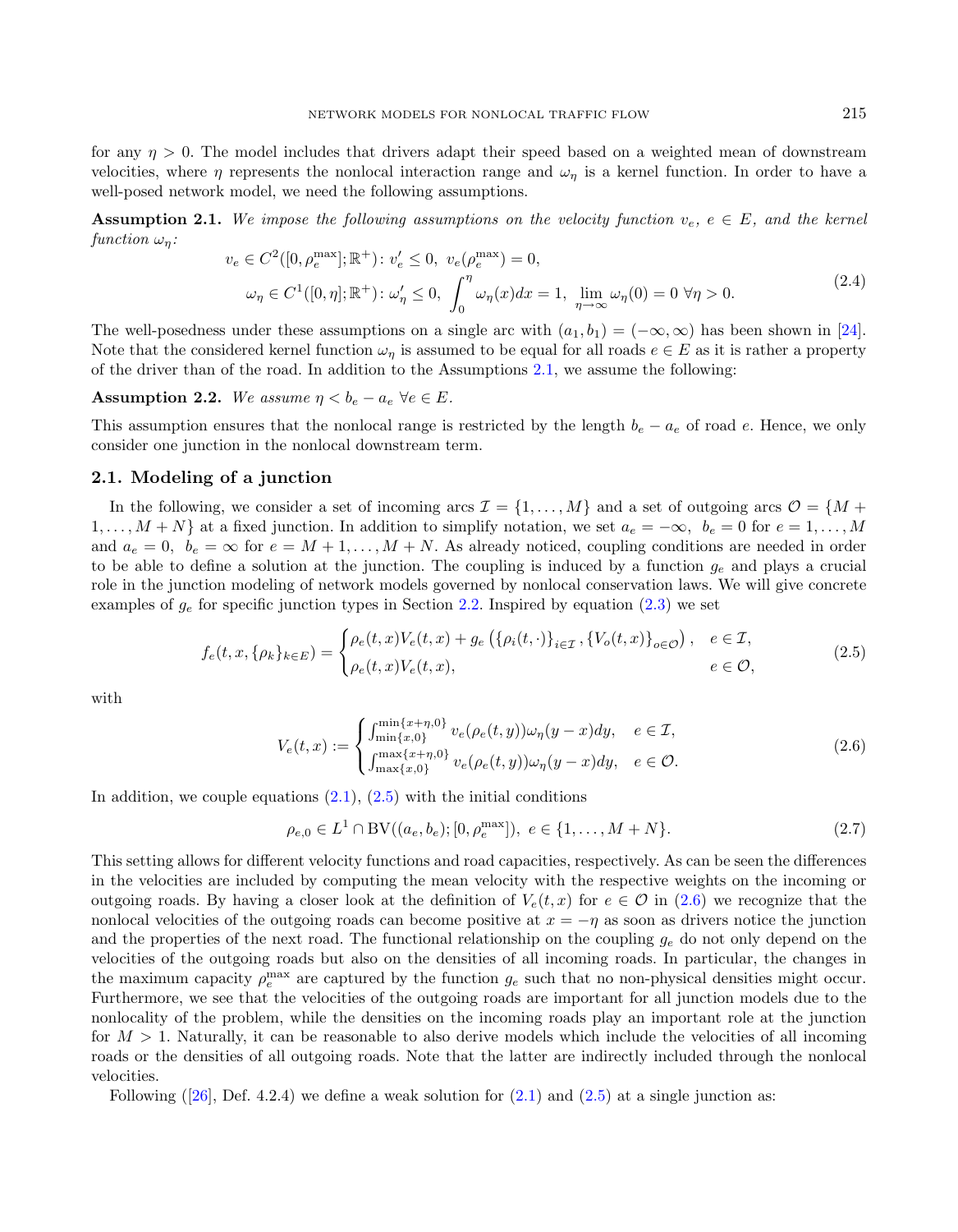<span id="page-2-5"></span>for any  $\eta > 0$ . The model includes that drivers adapt their speed based on a weighted mean of downstream velocities, where  $\eta$  represents the nonlocal interaction range and  $\omega_{\eta}$  is a kernel function. In order to have a well-posed network model, we need the following assumptions.

**Assumption 2.1.** We impose the following assumptions on the velocity function  $v_e$ ,  $e \in E$ , and the kernel function  $\omega_n$ :

<span id="page-2-1"></span><span id="page-2-0"></span>
$$
v_e \in C^2([0, \rho_e^{\max}]; \mathbb{R}^+): v_e' \le 0, \ v_e(\rho_e^{\max}) = 0,
$$
  

$$
\omega_\eta \in C^1([0, \eta]; \mathbb{R}^+): \omega_\eta' \le 0, \ \int_0^\eta \omega_\eta(x) dx = 1, \ \lim_{\eta \to \infty} \omega_\eta(0) = 0 \ \forall \eta > 0.
$$
 (2.4)

The well-posedness under these assumptions on a single arc with  $(a_1, b_1) = (-\infty, \infty)$  has been shown in [\[24\]](#page-21-16). Note that the considered kernel function  $\omega_n$  is assumed to be equal for all roads  $e \in E$  as it is rather a property of the driver than of the road. In addition to the Assumptions [2.1,](#page-2-0) we assume the following:

Assumption 2.2. We assume  $\eta < b_e - a_e \ \forall e \in E$ .

This assumption ensures that the nonlocal range is restricted by the length  $b_e - a_e$  of road e. Hence, we only consider one junction in the nonlocal downstream term.

## 2.1. Modeling of a junction

In the following, we consider a set of incoming arcs  $\mathcal{I} = \{1, \ldots, M\}$  and a set of outgoing arcs  $\mathcal{O} = \{M +$  $1, \ldots, M+N$  at a fixed junction. In addition to simplify notation, we set  $a_e = -\infty$ ,  $b_e = 0$  for  $e = 1, \ldots, M$ and  $a_e = 0$ ,  $b_e = \infty$  for  $e = M + 1, \ldots, M + N$ . As already noticed, coupling conditions are needed in order to be able to define a solution at the junction. The coupling is induced by a function  $g_e$  and plays a crucial role in the junction modeling of network models governed by nonlocal conservation laws. We will give concrete examples of  $g_e$  for specific junction types in Section [2.2.](#page-4-0) Inspired by equation [\(2.3\)](#page-1-1) we set

$$
f_e(t, x, \{\rho_k\}_{k \in E}) = \begin{cases} \rho_e(t, x)V_e(t, x) + g_e\left(\{\rho_i(t, \cdot)\}_{i \in \mathcal{I}}, \{V_o(t, x)\}_{o \in \mathcal{O}}\right), & e \in \mathcal{I}, \\ \rho_e(t, x)V_e(t, x), & e \in \mathcal{O}, \end{cases}
$$
(2.5)

with

<span id="page-2-4"></span><span id="page-2-2"></span>
$$
V_e(t,x) := \begin{cases} \int_{\min\{x,0\}}^{\min\{x+\eta,0\}} v_e(\rho_e(t,y))\omega_\eta(y-x)dy, & e \in \mathcal{I},\\ \int_{\max\{x,0\}}^{\max\{x+\eta,0\}} v_e(\rho_e(t,y))\omega_\eta(y-x)dy, & e \in \mathcal{O}. \end{cases}
$$
(2.6)

In addition, we couple equations  $(2.1)$ ,  $(2.5)$  with the initial conditions

<span id="page-2-3"></span>
$$
\rho_{e,0} \in L^1 \cap BV((a_e, b_e); [0, \rho_e^{\max}]), \ e \in \{1, \dots, M+N\}. \tag{2.7}
$$

This setting allows for different velocity functions and road capacities, respectively. As can be seen the differences in the velocities are included by computing the mean velocity with the respective weights on the incoming or outgoing roads. By having a closer look at the definition of  $V_e(t, x)$  for  $e \in \mathcal{O}$  in [\(2.6\)](#page-2-2) we recognize that the nonlocal velocities of the outgoing roads can become positive at  $x = -\eta$  as soon as drivers notice the junction and the properties of the next road. The functional relationship on the coupling  $g_e$  do not only depend on the velocities of the outgoing roads but also on the densities of all incoming roads. In particular, the changes in the maximum capacity  $\rho_e^{\text{max}}$  are captured by the function  $g_e$  such that no non-physical densities might occur. Furthermore, we see that the velocities of the outgoing roads are important for all junction models due to the nonlocality of the problem, while the densities on the incoming roads play an important role at the junction for  $M > 1$ . Naturally, it can be reasonable to also derive models which include the velocities of all incoming roads or the densities of all outgoing roads. Note that the latter are indirectly included through the nonlocal velocities.

Following ([\[26\]](#page-21-7), Def. 4.2.4) we define a weak solution for  $(2.1)$  and  $(2.5)$  at a single junction as: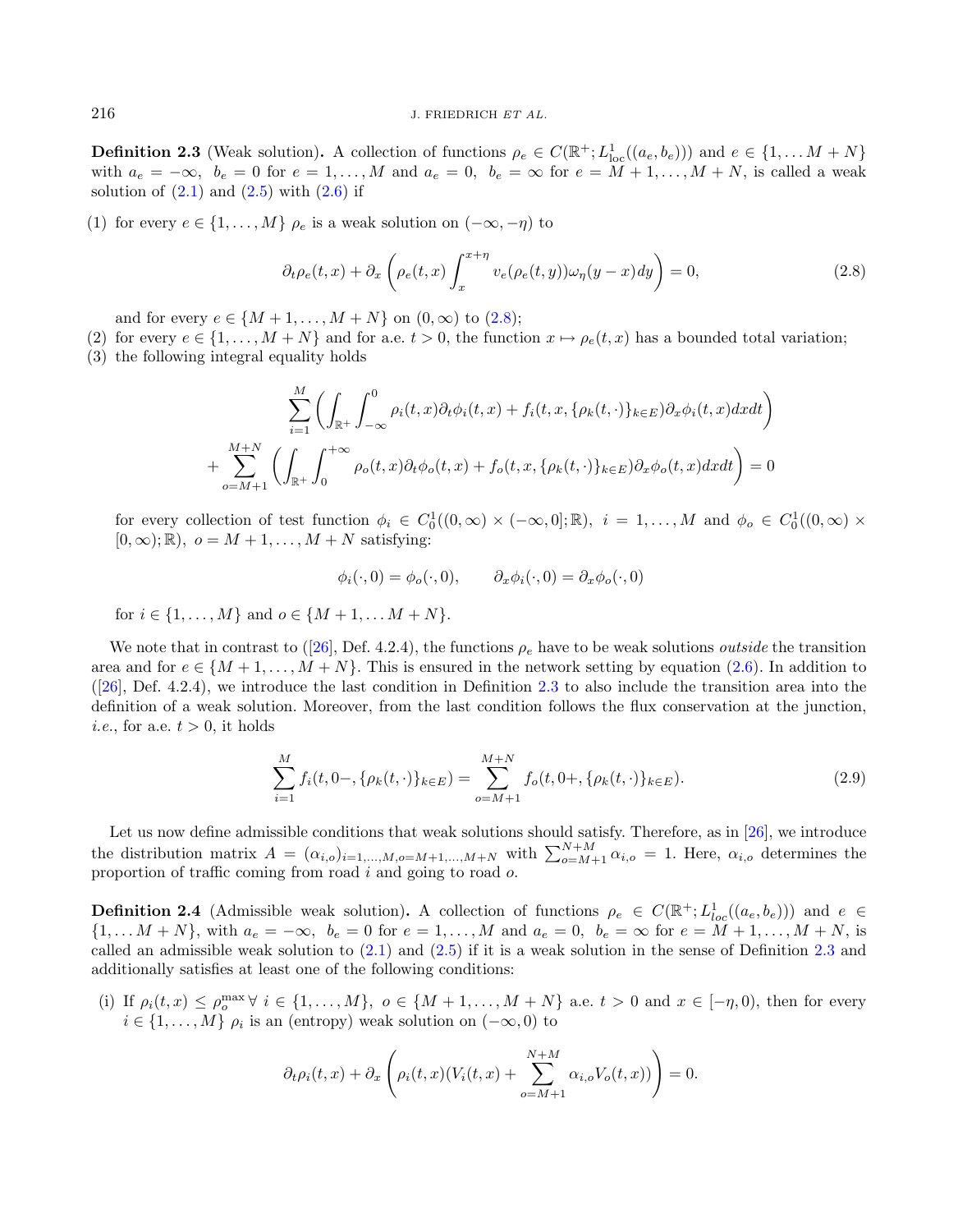**Definition 2.3** (Weak solution). A collection of functions  $\rho_e \in C(\mathbb{R}^+; L^1_{loc}((a_e, b_e)))$  and  $e \in \{1, \ldots M + N\}$ with  $a_e = -\infty$ ,  $b_e = 0$  for  $e = 1, \ldots, M$  and  $a_e = 0$ ,  $b_e = \infty$  for  $e = M + 1, \ldots, M + N$ , is called a weak solution of  $(2.1)$  and  $(2.5)$  with  $(2.6)$  if

(1) for every  $e \in \{1, \ldots, M\}$   $\rho_e$  is a weak solution on  $(-\infty, -\eta)$  to

<span id="page-3-0"></span>
$$
\partial_t \rho_e(t, x) + \partial_x \left( \rho_e(t, x) \int_x^{x + \eta} v_e(\rho_e(t, y)) \omega_{\eta}(y - x) dy \right) = 0, \tag{2.8}
$$

and for every  $e \in \{M + 1, ..., M + N\}$  on  $(0, \infty)$  to  $(2.8)$ ;

- (2) for every  $e \in \{1, \ldots, M+N\}$  and for a.e.  $t > 0$ , the function  $x \mapsto \rho_e(t, x)$  has a bounded total variation;
- (3) the following integral equality holds

$$
\sum_{i=1}^{M+N} \left( \int_{\mathbb{R}^+} \int_{-\infty}^0 \rho_i(t, x) \partial_t \phi_i(t, x) + f_i(t, x, \{\rho_k(t, \cdot)\}_{k \in E}) \partial_x \phi_i(t, x) dx dt \right)
$$

$$
+ \sum_{o=M+1}^{M+N} \left( \int_{\mathbb{R}^+} \int_0^{+\infty} \rho_o(t, x) \partial_t \phi_o(t, x) + f_o(t, x, \{\rho_k(t, \cdot)\}_{k \in E}) \partial_x \phi_o(t, x) dx dt \right) = 0
$$

for every collection of test function  $\phi_i \in C_0^1((0,\infty) \times (-\infty,0];\mathbb{R})$ ,  $i=1,\ldots,M$  and  $\phi_o \in C_0^1((0,\infty) \times$  $[0, \infty); \mathbb{R}$ ,  $o = M + 1, \ldots, M + N$  satisfying:

<span id="page-3-2"></span>
$$
\phi_i(\cdot,0) = \phi_o(\cdot,0), \qquad \partial_x \phi_i(\cdot,0) = \partial_x \phi_o(\cdot,0)
$$

for  $i \in \{1, ..., M\}$  and  $o \in \{M+1, ..., M+N\}$ .

We note that in contrast to ([\[26\]](#page-21-7), Def. 4.2.4), the functions  $\rho_e$  have to be weak solutions *outside* the transition area and for  $e \in \{M+1,\ldots,M+N\}$ . This is ensured in the network setting by equation [\(2.6\)](#page-2-2). In addition to  $([26],$  $([26],$  $([26],$  Def. 4.2.4), we introduce the last condition in Definition [2.3](#page-2-3) to also include the transition area into the definition of a weak solution. Moreover, from the last condition follows the flux conservation at the junction, *i.e.*, for a.e.  $t > 0$ , it holds

$$
\sum_{i=1}^{M} f_i(t, 0-, \{\rho_k(t, \cdot)\}_{k \in E}) = \sum_{o=M+1}^{M+N} f_o(t, 0+, \{\rho_k(t, \cdot)\}_{k \in E}).
$$
\n(2.9)

Let us now define admissible conditions that weak solutions should satisfy. Therefore, as in [\[26\]](#page-21-7), we introduce the distribution matrix  $A = (\alpha_{i,o})_{i=1,\dots,M,o=M+1,\dots,M+N}$  with  $\sum_{o=M+1}^{N+M} \alpha_{i,o} = 1$ . Here,  $\alpha_{i,o}$  determines the proportion of traffic coming from road  $i$  and going to road  $o$ .

<span id="page-3-1"></span>**Definition 2.4** (Admissible weak solution). A collection of functions  $\rho_e \in C(\mathbb{R}^+; L^1_{loc}((a_e, b_e)))$  and  $e \in$  $\{1, \ldots M + N\}$ , with  $a_e = -\infty$ ,  $b_e = 0$  for  $e = 1, \ldots, M$  and  $a_e = 0$ ,  $b_e = \infty$  for  $e = M + 1, \ldots, M + N$ , is called an admissible weak solution to [\(2.1\)](#page-1-0) and [\(2.5\)](#page-2-1) if it is a weak solution in the sense of Definition [2.3](#page-2-3) and additionally satisfies at least one of the following conditions:

(i) If  $\rho_i(t, x) \le \rho_o^{\max} \ \forall \ i \in \{1, ..., M\}, \ o \in \{M + 1, ..., M + N\} \ a.e. \ t > 0 \ and \ x \in [-\eta, 0), \text{ then for every }$  $i \in \{1, \ldots, M\}$   $\rho_i$  is an (entropy) weak solution on  $(-\infty, 0)$  to

$$
\partial_t \rho_i(t, x) + \partial_x \left( \rho_i(t, x) (V_i(t, x) + \sum_{o=M+1}^{N+M} \alpha_{i,o} V_o(t, x)) \right) = 0.
$$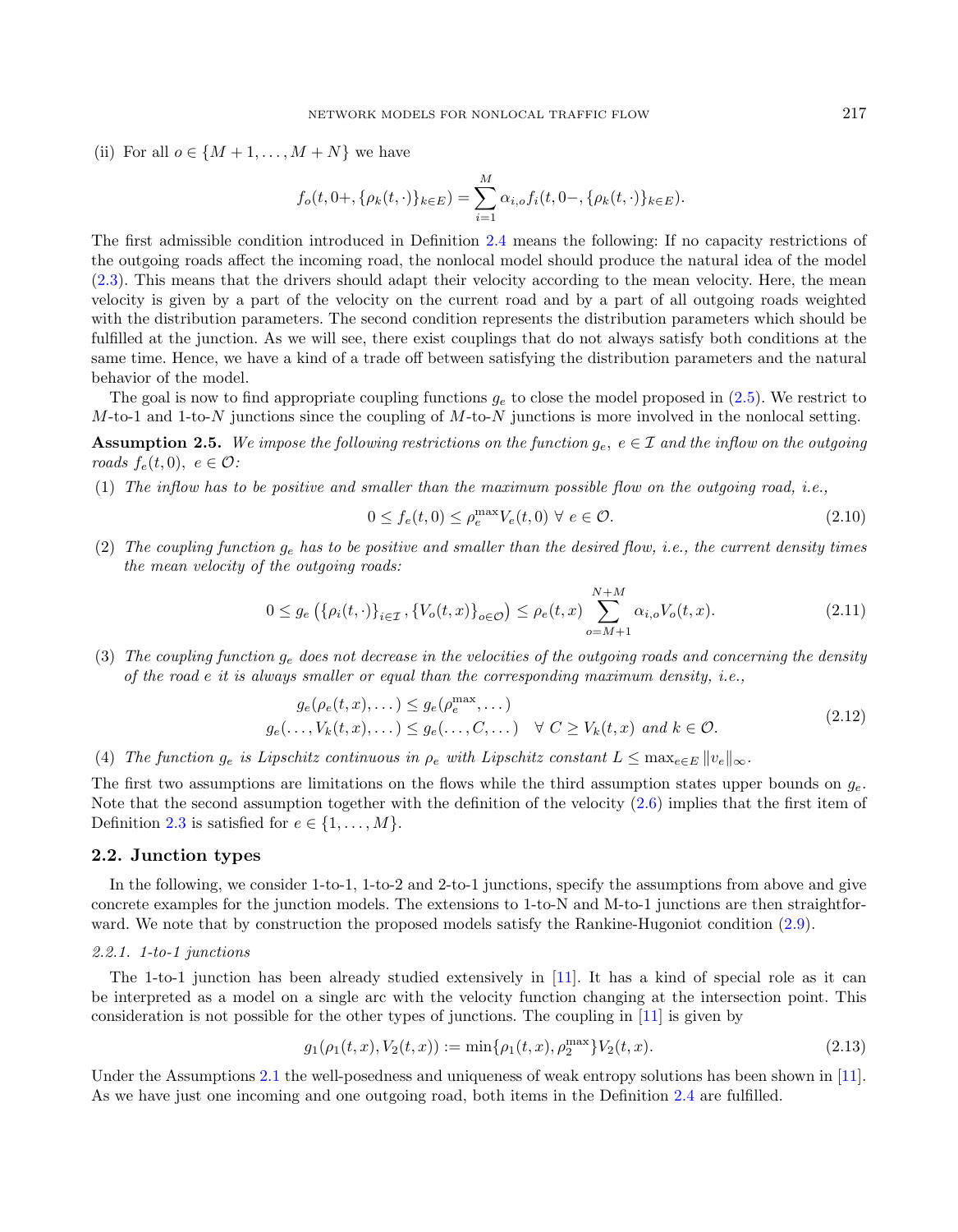(ii) For all  $o \in \{M+1,\ldots,M+N\}$  we have

<span id="page-4-1"></span>
$$
f_o(t, 0+, \{\rho_k(t, \cdot)\}_{k \in E}) = \sum_{i=1}^{M} \alpha_{i, o} f_i(t, 0-, \{\rho_k(t, \cdot)\}_{k \in E}).
$$

The first admissible condition introduced in Definition [2.4](#page-3-1) means the following: If no capacity restrictions of the outgoing roads affect the incoming road, the nonlocal model should produce the natural idea of the model [\(2.3\)](#page-1-1). This means that the drivers should adapt their velocity according to the mean velocity. Here, the mean velocity is given by a part of the velocity on the current road and by a part of all outgoing roads weighted with the distribution parameters. The second condition represents the distribution parameters which should be fulfilled at the junction. As we will see, there exist couplings that do not always satisfy both conditions at the same time. Hence, we have a kind of a trade off between satisfying the distribution parameters and the natural behavior of the model.

The goal is now to find appropriate coupling functions  $g_e$  to close the model proposed in [\(2.5\)](#page-2-1). We restrict to  $M$ -to-1 and 1-to-N junctions since the coupling of  $M$ -to-N junctions is more involved in the nonlocal setting.

**Assumption 2.5.** We impose the following restrictions on the function  $g_e$ ,  $e \in \mathcal{I}$  and the inflow on the outgoing roads  $f_e(t, 0), e \in \mathcal{O}$ :

(1) The inflow has to be positive and smaller than the maximum possible flow on the outgoing road, i.e.,

<span id="page-4-2"></span>
$$
0 \le f_e(t,0) \le \rho_e^{\max} V_e(t,0) \ \forall \ e \in \mathcal{O}.\tag{2.10}
$$

(2) The coupling function  $g_e$  has to be positive and smaller than the desired flow, i.e., the current density times the mean velocity of the outgoing roads:

$$
0 \le g_e\left(\{\rho_i(t,\cdot)\}_{i\in\mathcal{I}}, \{V_o(t,x)\}_{o\in\mathcal{O}}\right) \le \rho_e(t,x) \sum_{o=M+1}^{N+M} \alpha_{i,o} V_o(t,x). \tag{2.11}
$$

(3) The coupling function  $g_e$  does not decrease in the velocities of the outgoing roads and concerning the density of the road  $e$  it is always smaller or equal than the corresponding maximum density, i.e.,

$$
g_e(\rho_e(t, x), \dots) \le g_e(\rho_e^{\max}, \dots)
$$
  

$$
g_e(\dots, V_k(t, x), \dots) \le g_e(\dots, C, \dots) \quad \forall \ C \ge V_k(t, x) \ and \ k \in \mathcal{O}.
$$
 (2.12)

(4) The function  $g_e$  is Lipschitz continuous in  $\rho_e$  with Lipschitz constant  $L \leq \max_{e \in E} ||v_e||_{\infty}$ .

The first two assumptions are limitations on the flows while the third assumption states upper bounds on  $g_e$ . Note that the second assumption together with the definition of the velocity [\(2.6\)](#page-2-2) implies that the first item of Definition [2.3](#page-2-3) is satisfied for  $e \in \{1, \ldots, M\}$ .

## <span id="page-4-0"></span>2.2. Junction types

In the following, we consider 1-to-1, 1-to-2 and 2-to-1 junctions, specify the assumptions from above and give concrete examples for the junction models. The extensions to 1-to-N and M-to-1 junctions are then straightforward. We note that by construction the proposed models satisfy the Rankine-Hugoniot condition [\(2.9\)](#page-3-2).

### 2.2.1. 1-to-1 junctions

The 1-to-1 junction has been already studied extensively in [\[11\]](#page-21-33). It has a kind of special role as it can be interpreted as a model on a single arc with the velocity function changing at the intersection point. This consideration is not possible for the other types of junctions. The coupling in [\[11\]](#page-21-33) is given by

$$
g_1(\rho_1(t,x), V_2(t,x)) := \min\{\rho_1(t,x), \rho_2^{\max}\} V_2(t,x). \tag{2.13}
$$

Under the Assumptions [2.1](#page-2-0) the well-posedness and uniqueness of weak entropy solutions has been shown in [\[11\]](#page-21-33). As we have just one incoming and one outgoing road, both items in the Definition [2.4](#page-3-1) are fulfilled.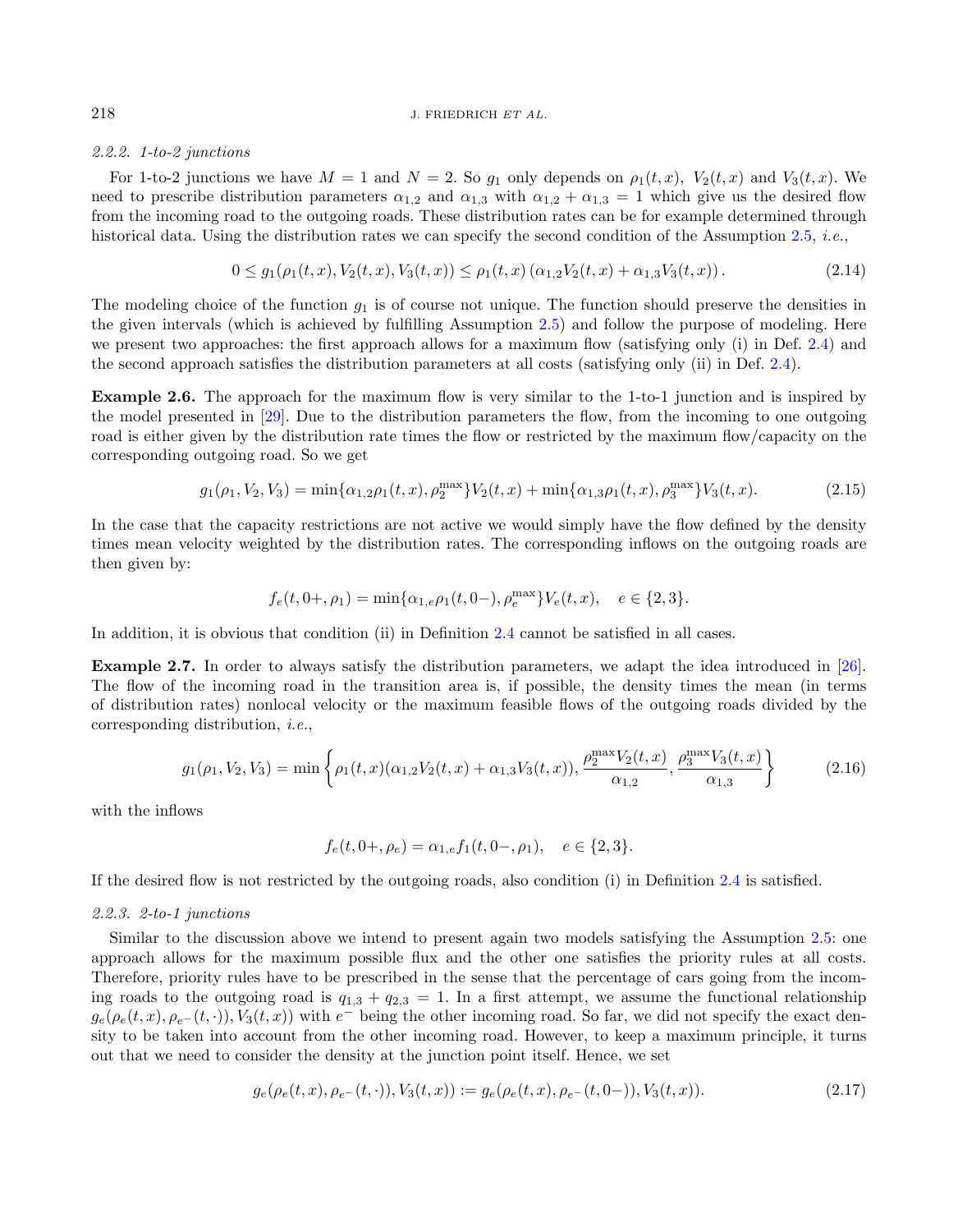#### 2.2.2. 1-to-2 junctions

For 1-to-2 junctions we have  $M = 1$  and  $N = 2$ . So  $g_1$  only depends on  $\rho_1(t, x)$ ,  $V_2(t, x)$  and  $V_3(t, x)$ . We need to prescribe distribution parameters  $\alpha_{1,2}$  and  $\alpha_{1,3}$  with  $\alpha_{1,2} + \alpha_{1,3} = 1$  which give us the desired flow from the incoming road to the outgoing roads. These distribution rates can be for example determined through historical data. Using the distribution rates we can specify the second condition of the Assumption [2.5,](#page-4-1) *i.e.*,

<span id="page-5-0"></span>
$$
0 \le g_1(\rho_1(t, x), V_2(t, x), V_3(t, x)) \le \rho_1(t, x) \left(\alpha_{1,2} V_2(t, x) + \alpha_{1,3} V_3(t, x)\right). \tag{2.14}
$$

The modeling choice of the function  $g_1$  is of course not unique. The function should preserve the densities in the given intervals (which is achieved by fulfilling Assumption [2.5\)](#page-4-1) and follow the purpose of modeling. Here we present two approaches: the first approach allows for a maximum flow (satisfying only (i) in Def. [2.4\)](#page-3-1) and the second approach satisfies the distribution parameters at all costs (satisfying only (ii) in Def. [2.4\)](#page-3-1).

<span id="page-5-2"></span>Example 2.6. The approach for the maximum flow is very similar to the 1-to-1 junction and is inspired by the model presented in [\[29\]](#page-21-11). Due to the distribution parameters the flow, from the incoming to one outgoing road is either given by the distribution rate times the flow or restricted by the maximum flow/capacity on the corresponding outgoing road. So we get

$$
g_1(\rho_1, V_2, V_3) = \min\{\alpha_{1,2}\rho_1(t,x), \rho_2^{\max}\}V_2(t,x) + \min\{\alpha_{1,3}\rho_1(t,x), \rho_3^{\max}\}V_3(t,x). \tag{2.15}
$$

In the case that the capacity restrictions are not active we would simply have the flow defined by the density times mean velocity weighted by the distribution rates. The corresponding inflows on the outgoing roads are then given by:

$$
f_e(t, 0+, \rho_1) = \min\{\alpha_{1,e}\rho_1(t, 0-), \rho_e^{\max}\} V_e(t, x), \quad e \in \{2, 3\}.
$$

In addition, it is obvious that condition (ii) in Definition [2.4](#page-3-1) cannot be satisfied in all cases.

<span id="page-5-3"></span>Example 2.7. In order to always satisfy the distribution parameters, we adapt the idea introduced in [\[26\]](#page-21-7). The flow of the incoming road in the transition area is, if possible, the density times the mean (in terms of distribution rates) nonlocal velocity or the maximum feasible flows of the outgoing roads divided by the corresponding distribution, i.e.,

$$
g_1(\rho_1, V_2, V_3) = \min\left\{\rho_1(t, x)(\alpha_{1,2}V_2(t, x) + \alpha_{1,3}V_3(t, x)), \frac{\rho_2^{\max}V_2(t, x)}{\alpha_{1,2}}, \frac{\rho_3^{\max}V_3(t, x)}{\alpha_{1,3}}\right\}
$$
(2.16)

with the inflows

<span id="page-5-1"></span>
$$
f_e(t, 0+, \rho_e) = \alpha_{1,e} f_1(t, 0-, \rho_1), \quad e \in \{2, 3\}.
$$

If the desired flow is not restricted by the outgoing roads, also condition (i) in Definition [2.4](#page-3-1) is satisfied.

### 2.2.3. 2-to-1 junctions

Similar to the discussion above we intend to present again two models satisfying the Assumption [2.5:](#page-4-1) one approach allows for the maximum possible flux and the other one satisfies the priority rules at all costs. Therefore, priority rules have to be prescribed in the sense that the percentage of cars going from the incoming roads to the outgoing road is  $q_{1,3} + q_{2,3} = 1$ . In a first attempt, we assume the functional relationship  $g_e(\rho_e(t,x), \rho_{e^-}(t, \cdot)), V_3(t,x))$  with  $e^-$  being the other incoming road. So far, we did not specify the exact density to be taken into account from the other incoming road. However, to keep a maximum principle, it turns out that we need to consider the density at the junction point itself. Hence, we set

$$
g_e(\rho_e(t, x), \rho_{e^-}(t, \cdot)), V_3(t, x)) := g_e(\rho_e(t, x), \rho_{e^-}(t, 0-)), V_3(t, x)).
$$
\n(2.17)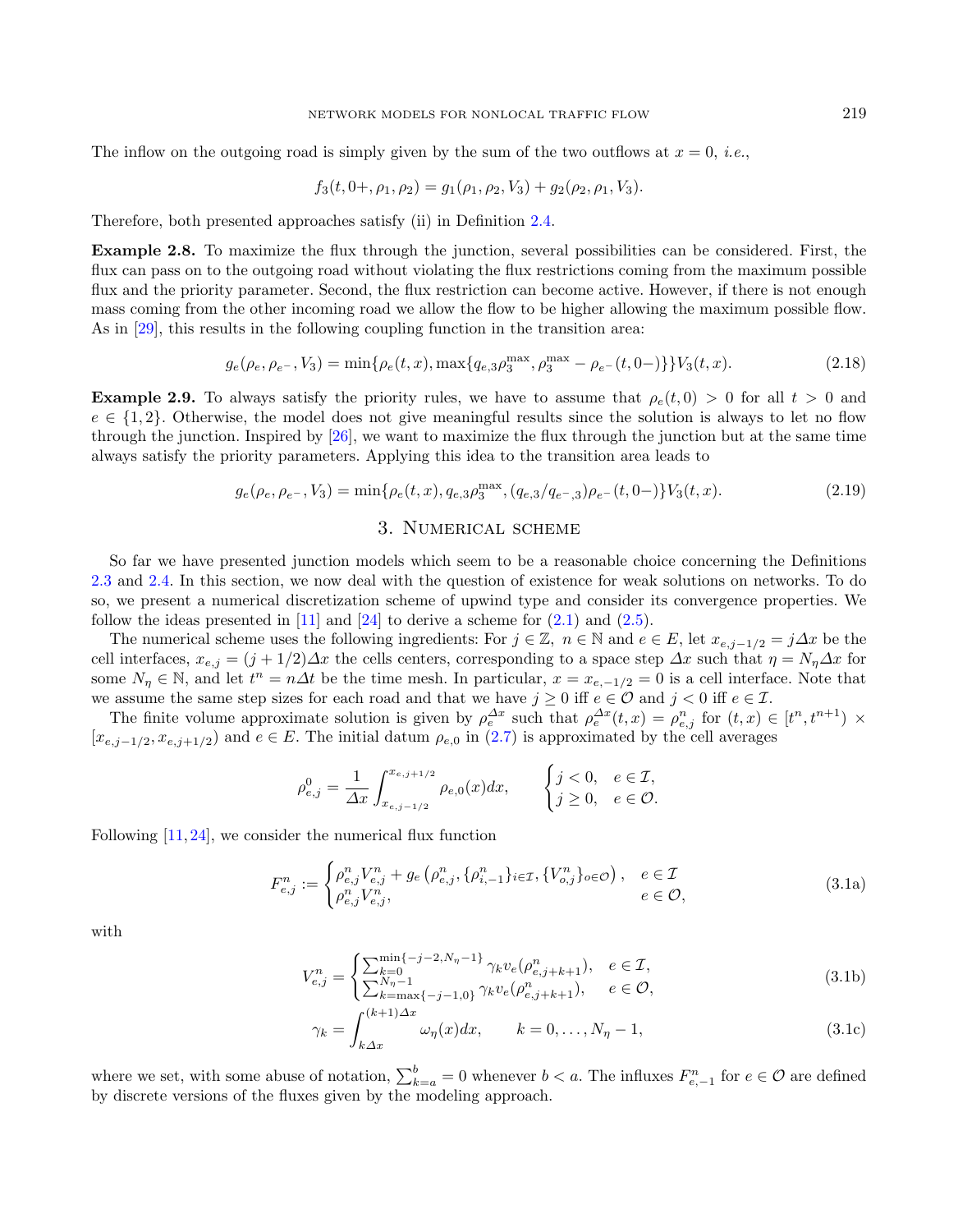The inflow on the outgoing road is simply given by the sum of the two outflows at  $x = 0$ , *i.e.*,

<span id="page-6-5"></span>
$$
f_3(t, 0+, \rho_1, \rho_2) = g_1(\rho_1, \rho_2, V_3) + g_2(\rho_2, \rho_1, V_3).
$$

Therefore, both presented approaches satisfy (ii) in Definition [2.4.](#page-3-1)

Example 2.8. To maximize the flux through the junction, several possibilities can be considered. First, the flux can pass on to the outgoing road without violating the flux restrictions coming from the maximum possible flux and the priority parameter. Second, the flux restriction can become active. However, if there is not enough mass coming from the other incoming road we allow the flow to be higher allowing the maximum possible flow. As in [\[29\]](#page-21-11), this results in the following coupling function in the transition area:

$$
g_e(\rho_e, \rho_{e^-}, V_3) = \min\{\rho_e(t, x), \max\{q_{e,3}\rho_3^{\max}, \rho_3^{\max} - \rho_{e^-}(t, 0-)\}\} V_3(t, x). \tag{2.18}
$$

<span id="page-6-4"></span>**Example 2.9.** To always satisfy the priority rules, we have to assume that  $\rho_e(t, 0) > 0$  for all  $t > 0$  and  $e \in \{1, 2\}$ . Otherwise, the model does not give meaningful results since the solution is always to let no flow through the junction. Inspired by [\[26\]](#page-21-7), we want to maximize the flux through the junction but at the same time always satisfy the priority parameters. Applying this idea to the transition area leads to

$$
g_e(\rho_e, \rho_{e^-}, V_3) = \min\{\rho_e(t, x), q_{e,3}\rho_3^{\max}, (q_{e,3}/q_{e^-,3})\rho_{e^-}(t, 0-)\}V_3(t, x). \tag{2.19}
$$

# <span id="page-6-3"></span><span id="page-6-2"></span><span id="page-6-1"></span>3. Numerical scheme

<span id="page-6-0"></span>So far we have presented junction models which seem to be a reasonable choice concerning the Definitions [2.3](#page-2-3) and [2.4.](#page-3-1) In this section, we now deal with the question of existence for weak solutions on networks. To do so, we present a numerical discretization scheme of upwind type and consider its convergence properties. We follow the ideas presented in  $[11]$  and  $[24]$  to derive a scheme for  $(2.1)$  and  $(2.5)$ .

The numerical scheme uses the following ingredients: For  $j \in \mathbb{Z}$ ,  $n \in \mathbb{N}$  and  $e \in E$ , let  $x_{e,j-1/2} = j\Delta x$  be the cell interfaces,  $x_{e,j} = (j + 1/2)\Delta x$  the cells centers, corresponding to a space step  $\Delta x$  such that  $\eta = N_{\eta} \Delta x$  for some  $N_{\eta} \in \mathbb{N}$ , and let  $t^n = n\Delta t$  be the time mesh. In particular,  $x = x_{e,-1/2} = 0$  is a cell interface. Note that we assume the same step sizes for each road and that we have  $j \geq 0$  iff  $e \in \mathcal{O}$  and  $j < 0$  iff  $e \in \mathcal{I}$ .

The finite volume approximate solution is given by  $\rho_e^{\Delta x}$  such that  $\rho_e^{\Delta x}(t,x) = \rho_{e,j}^n$  for  $(t,x) \in [t^n, t^{n+1}) \times$  $[x_{e,j-1/2}, x_{e,j+1/2}]$  and  $e \in E$ . The initial datum  $\rho_{e,0}$  in  $(2.7)$  is approximated by the cell averages

$$
\rho_{e,j}^0 = \frac{1}{\Delta x} \int_{x_{e,j-1/2}}^{x_{e,j+1/2}} \rho_{e,0}(x) dx, \qquad \begin{cases} j < 0, \quad e \in \mathcal{I}, \\ j \ge 0, \quad e \in \mathcal{O}. \end{cases}
$$

Following  $[11, 24]$  $[11, 24]$  $[11, 24]$ , we consider the numerical flux function

$$
F_{e,j}^{n} := \begin{cases} \rho_{e,j}^{n} V_{e,j}^{n} + g_e \left( \rho_{e,j}^{n}, \{ \rho_{i,-1}^{n} \}_{i \in \mathcal{I}}, \{ V_{o,j}^{n} \}_{o \in \mathcal{O}} \right), & e \in \mathcal{I} \\ \rho_{e,j}^{n} V_{e,j}^{n}, & e \in \mathcal{O}, \end{cases}
$$
(3.1a)

with

$$
V_{e,j}^{n} = \begin{cases} \sum_{k=0}^{\min\{-j-2,N_{\eta}-1\}} \gamma_{k} v_{e}(\rho_{e,j+k+1}^{n}), & e \in \mathcal{I},\\ \sum_{k=\max\{-j-1,0\}}^{N_{\eta}-1} \gamma_{k} v_{e}(\rho_{e,j+k+1}^{n}), & e \in \mathcal{O}, \end{cases}
$$
(3.1b)

$$
\gamma_k = \int_{k\Delta x}^{(k+1)\Delta x} \omega_\eta(x) dx, \qquad k = 0, \dots, N_\eta - 1,\tag{3.1c}
$$

where we set, with some abuse of notation,  $\sum_{k=a}^{b} = 0$  whenever  $b < a$ . The influxes  $F_{e,-1}^n$  for  $e \in \mathcal{O}$  are defined by discrete versions of the fluxes given by the modeling approach.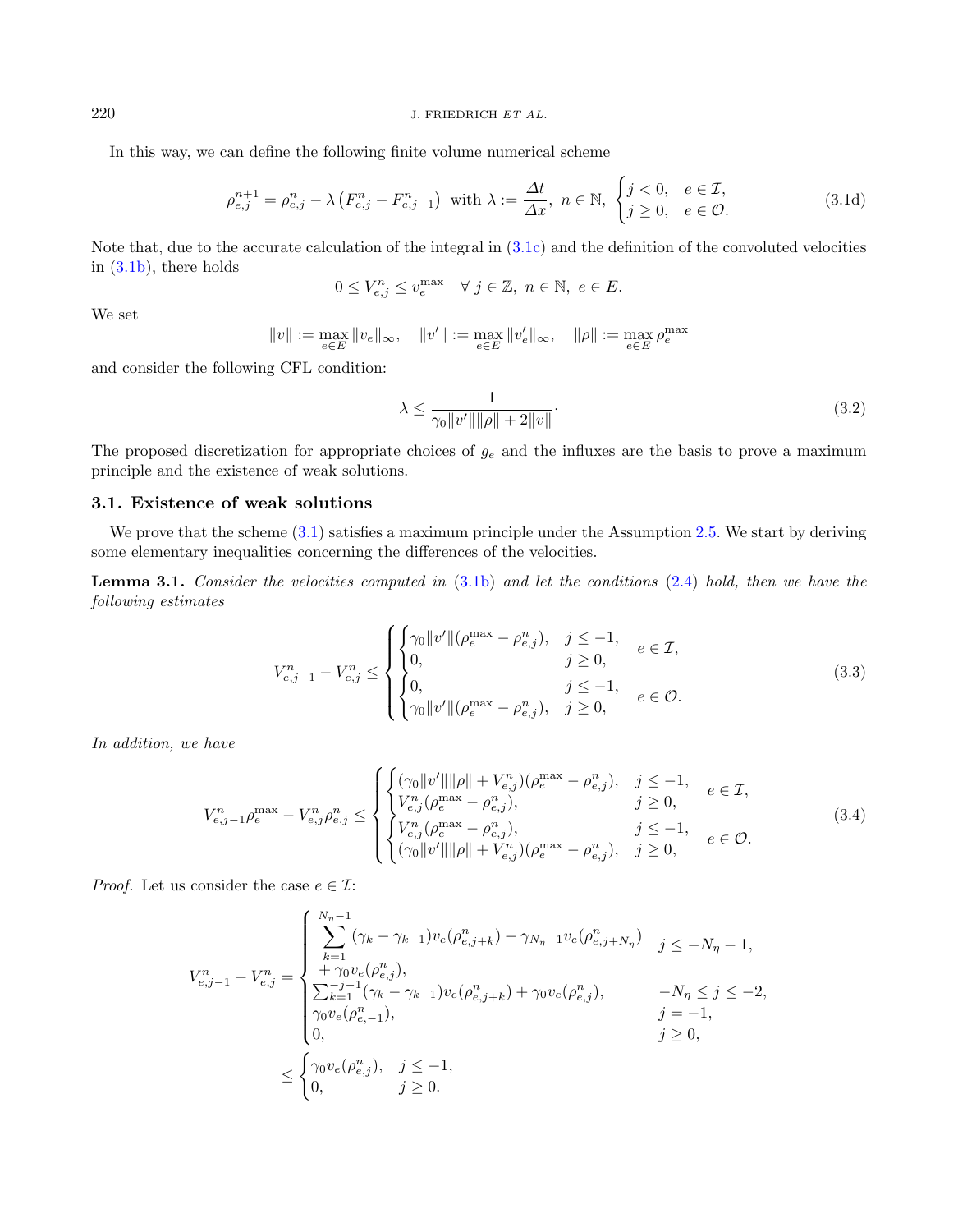In this way, we can define the following finite volume numerical scheme

$$
\rho_{e,j}^{n+1} = \rho_{e,j}^n - \lambda \left( F_{e,j}^n - F_{e,j-1}^n \right) \text{ with } \lambda := \frac{\Delta t}{\Delta x}, \ n \in \mathbb{N}, \ \begin{cases} j < 0, \ e \in \mathcal{I}, \\ j \ge 0, \ e \in \mathcal{O}. \end{cases} \tag{3.1d}
$$

Note that, due to the accurate calculation of the integral in [\(3.1c\)](#page-6-1) and the definition of the convoluted velocities in [\(3.1b\)](#page-6-2), there holds

<span id="page-7-0"></span>
$$
0\leq V_{e,j}^n\leq v_e^{\max}\quad\forall~j\in\mathbb{Z},~n\in\mathbb{N},~e\in E.
$$

We set

$$
\|v\|:=\max_{e\in E}\|v_e\|_\infty,\quad \|v'\|:=\max_{e\in E}\|v'_e\|_\infty,\quad \|\rho\|:=\max_{e\in E}\rho_e^{\max}
$$

and consider the following CFL condition:

<span id="page-7-1"></span>
$$
\lambda \le \frac{1}{\gamma_0 \|v'\| \| \rho \| + 2 \|v\|}.
$$
\n(3.2)

The proposed discretization for appropriate choices of  $g_e$  and the influxes are the basis to prove a maximum principle and the existence of weak solutions.

# 3.1. Existence of weak solutions

We prove that the scheme  $(3.1)$  satisfies a maximum principle under the Assumption [2.5.](#page-4-1) We start by deriving some elementary inequalities concerning the differences of the velocities.

**Lemma 3.1.** Consider the velocities computed in  $(3.1b)$  and let the conditions  $(2.4)$  hold, then we have the following estimates

$$
V_{e,j-1}^{n} - V_{e,j}^{n} \leq \begin{cases} \begin{cases} \gamma_{0} ||v'||(\rho_{e}^{\max} - \rho_{e,j}^{n}), & j \leq -1, \\ 0, & j \geq 0, \\ 0, & j \leq -1, \\ \gamma_{0} ||v'||(\rho_{e}^{\max} - \rho_{e,j}^{n}), & j \geq 0, \end{cases} & e \in \mathcal{O}. \end{cases}
$$
(3.3)

In addition, we have

$$
V_{e,j-1}^{n} \rho_{e}^{\max} - V_{e,j}^{n} \rho_{e,j}^{n} \leq \begin{cases} \left( \gamma_{0} \|v'\| \| \rho \| + V_{e,j}^{n} \right) (\rho_{e}^{\max} - \rho_{e,j}^{n}), & j \leq -1, \\ V_{e,j}^{n} (\rho_{e}^{\max} - \rho_{e,j}^{n}), & j \geq 0, \\ \left\{ \begin{aligned} & V_{e,j}^{n} (\rho_{e}^{\max} - \rho_{e,j}^{n}), & j \leq -1, \\ & (\gamma_{0} \|v'\| \| \rho \| + V_{e,j}^{n}) (\rho_{e}^{\max} - \rho_{e,j}^{n}), & j \geq 0, \end{aligned} \right. & e \in \mathcal{O}. \end{cases}
$$
(3.4)

*Proof.* Let us consider the case  $e \in \mathcal{I}$ :

$$
V_{e,j-1}^{n} - V_{e,j}^{n} = \begin{cases} \sum_{k=1}^{N_{\eta}-1} (\gamma_{k} - \gamma_{k-1}) v_{e}(\rho_{e,j+k}^{n}) - \gamma_{N_{\eta}-1} v_{e}(\rho_{e,j+N_{\eta}}^{n}) & j \leq -N_{\eta}-1, \\ + \gamma_{0} v_{e}(\rho_{e,j}^{n}), & j \leq -N_{\eta}-1, \\ \sum_{k=1}^{-j-1} (\gamma_{k} - \gamma_{k-1}) v_{e}(\rho_{e,j+k}^{n}) + \gamma_{0} v_{e}(\rho_{e,j}^{n}), & -N_{\eta} \leq j \leq -2, \\ \gamma_{0} v_{e}(\rho_{e,-1}^{n}), & j = -1, \\ 0, & j \geq 0, \end{cases}
$$
  

$$
\leq \begin{cases} \gamma_{0} v_{e}(\rho_{e,j}^{n}), & j \leq -1, \\ 0, & j \geq 0. \end{cases}
$$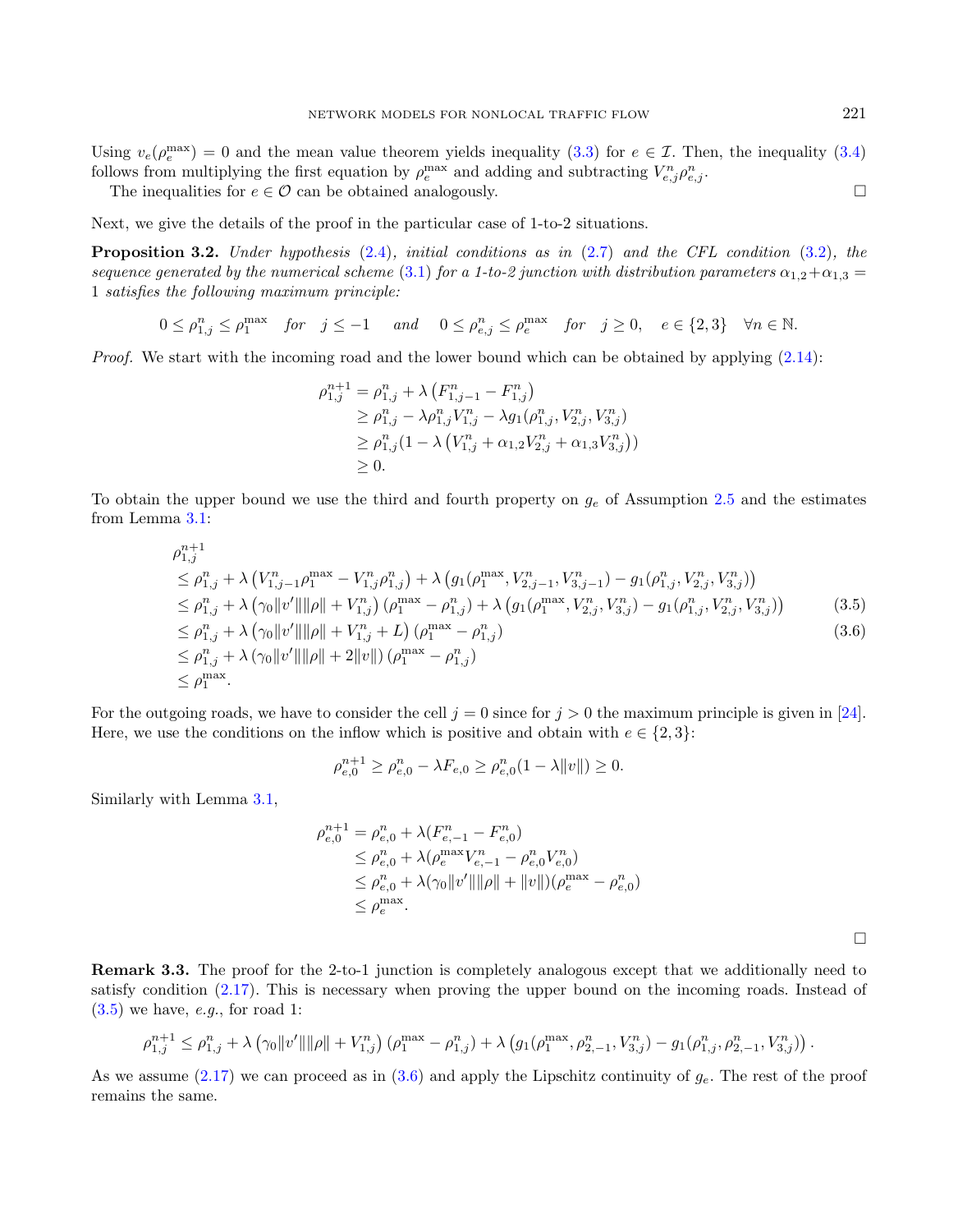Using  $v_e(\rho_e^{\text{max}}) = 0$  and the mean value theorem yields inequality [\(3.3\)](#page-6-1) for  $e \in \mathcal{I}$ . Then, the inequality [\(3.4\)](#page-7-0) follows from multiplying the first equation by  $\rho_e^{\max}$  and adding and subtracting  $V_{e,j}^n \rho_{e,j}^n$ .

The inequalities for  $e \in \mathcal{O}$  can be obtained analogously.

Next, we give the details of the proof in the particular case of 1-to-2 situations.

**Proposition 3.2.** Under hypothesis  $(2.4)$ , initial conditions as in  $(2.7)$  and the CFL condition  $(3.2)$ , the sequence generated by the numerical scheme [\(3.1\)](#page-6-3) for a 1-to-2 junction with distribution parameters  $\alpha_{1,2}+\alpha_{1,3} =$ 1 satisfies the following maximum principle:

 $0 \leq \rho_{1,j}^n \leq \rho_1^{\max}$  for  $j \leq -1$  and  $0 \leq \rho_{e,j}^n \leq \rho_e^{\max}$  for  $j \geq 0$ ,  $e \in \{2,3\}$   $\forall n \in \mathbb{N}$ .

Proof. We start with the incoming road and the lower bound which can be obtained by applying  $(2.14)$ :

<span id="page-8-1"></span><span id="page-8-0"></span>
$$
\rho_{1,j}^{n+1} = \rho_{1,j}^{n} + \lambda \left( F_{1,j-1}^{n} - F_{1,j}^{n} \right) \n\geq \rho_{1,j}^{n} - \lambda \rho_{1,j}^{n} V_{1,j}^{n} - \lambda g_1(\rho_{1,j}^{n}, V_{2,j}^{n}, V_{3,j}^{n}) \n\geq \rho_{1,j}^{n} (1 - \lambda \left( V_{1,j}^{n} + \alpha_{1,2} V_{2,j}^{n} + \alpha_{1,3} V_{3,j}^{n} \right)) \n\geq 0.
$$

To obtain the upper bound we use the third and fourth property on  $g_e$  of Assumption [2.5](#page-4-1) and the estimates from Lemma [3.1:](#page-7-1)

$$
\rho_{1,j}^{n+1} \n\leq \rho_{1,j}^n + \lambda \left( V_{1,j-1}^n \rho_1^{\max} - V_{1,j}^n \rho_{1,j}^n \right) + \lambda \left( g_1(\rho_1^{\max}, V_{2,j-1}^n, V_{3,j-1}^n) - g_1(\rho_{1,j}^n, V_{2,j}^n, V_{3,j}^n) \right) \n\leq \rho_{1,j}^n + \lambda \left( \gamma_0 \|v'\| \|\rho\| + V_{1,j}^n \right) \left( \rho_1^{\max} - \rho_{1,j}^n \right) + \lambda \left( g_1(\rho_1^{\max}, V_{2,j}^n, V_{3,j}^n) - g_1(\rho_{1,j}^n, V_{2,j}^n, V_{3,j}^n) \right) \n\leq \rho_{1,j}^n + \lambda \left( \gamma_0 \|v'\| \|\rho\| + V_{1,j}^n + L \right) \left( \rho_1^{\max} - \rho_{1,j}^n \right) \n\leq \rho_{1,j}^n + \lambda \left( \gamma_0 \|v'\| \|\rho\| + 2 \|v\| \right) \left( \rho_1^{\max} - \rho_{1,j}^n \right) \n\leq \rho_1^{\max}.
$$
\n(3.6)

For the outgoing roads, we have to consider the cell  $j = 0$  since for  $j > 0$  the maximum principle is given in [\[24\]](#page-21-16). Here, we use the conditions on the inflow which is positive and obtain with  $e \in \{2,3\}$ :

$$
\rho_{e,0}^{n+1} \ge \rho_{e,0}^n - \lambda F_{e,0} \ge \rho_{e,0}^n (1 - \lambda ||v||) \ge 0.
$$

Similarly with Lemma [3.1,](#page-7-1)

$$
\rho_{e,0}^{n+1} = \rho_{e,0}^n + \lambda(F_{e,-1}^n - F_{e,0}^n)
$$
  
\n
$$
\leq \rho_{e,0}^n + \lambda(\rho_e^{\max} V_{e,-1}^n - \rho_{e,0}^n V_{e,0}^n)
$$
  
\n
$$
\leq \rho_{e,0}^n + \lambda(\gamma_0 \|v'\| \|\rho\| + \|v\|)(\rho_e^{\max} - \rho_{e,0}^n)
$$
  
\n
$$
\leq \rho_e^{\max}.
$$

 $\Box$ 

Remark 3.3. The proof for the 2-to-1 junction is completely analogous except that we additionally need to satisfy condition [\(2.17\)](#page-5-1). This is necessary when proving the upper bound on the incoming roads. Instead of  $(3.5)$  we have, *e.g.*, for road 1:

$$
\rho_{1,j}^{n+1} \leq \rho_{1,j}^{n} + \lambda \left( \gamma_0 \|v'\| \|\rho\| + V_{1,j}^{n} \right) \left( \rho_1^{\max} - \rho_{1,j}^{n} \right) + \lambda \left( g_1(\rho_1^{\max}, \rho_{2,-1}^{n}, V_{3,j}^{n}) - g_1(\rho_{1,j}^{n}, \rho_{2,-1}^{n}, V_{3,j}^{n}) \right).
$$

As we assume  $(2.17)$  we can proceed as in  $(3.6)$  and apply the Lipschitz continuity of  $g_e$ . The rest of the proof remains the same.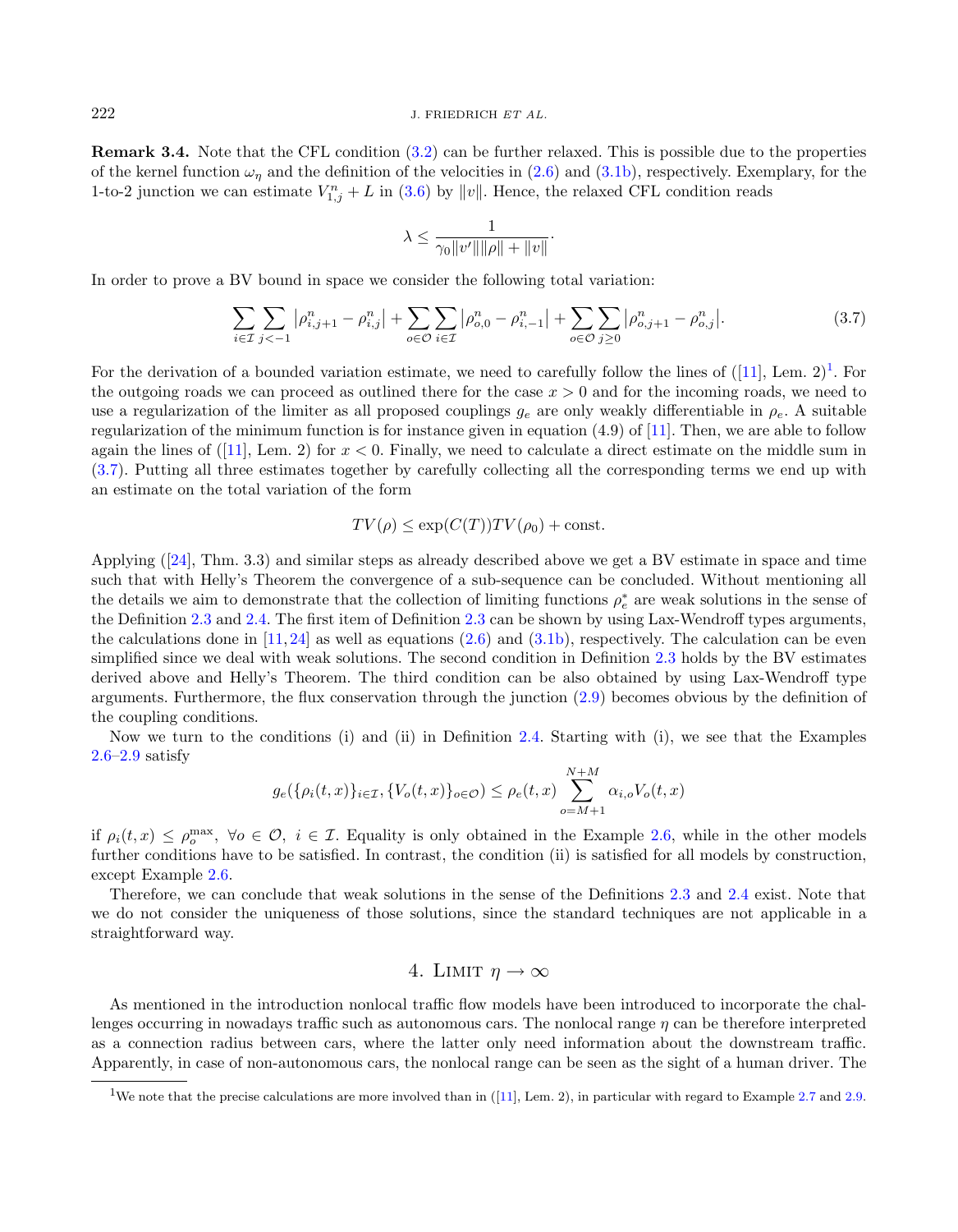Remark 3.4. Note that the CFL condition [\(3.2\)](#page-6-2) can be further relaxed. This is possible due to the properties of the kernel function  $\omega_n$  and the definition of the velocities in [\(2.6\)](#page-2-2) and [\(3.1b\)](#page-6-2), respectively. Exemplary, for the 1-to-2 junction we can estimate  $V_{1,j}^n + L$  in [\(3.6\)](#page-8-1) by ||v||. Hence, the relaxed CFL condition reads

<span id="page-9-2"></span>
$$
\lambda \le \frac{1}{\gamma_0 \|v'\| \|\rho\| + \|v\|}.
$$

In order to prove a BV bound in space we consider the following total variation:

$$
\sum_{i \in \mathcal{I}} \sum_{j < -1} |\rho^n_{i,j+1} - \rho^n_{i,j}| + \sum_{o \in \mathcal{O}} \sum_{i \in \mathcal{I}} |\rho^n_{o,0} - \rho^n_{i,-1}| + \sum_{o \in \mathcal{O}} \sum_{j \ge 0} |\rho^n_{o,j+1} - \rho^n_{o,j}|. \tag{3.7}
$$

For the derivation of a bounded variation estimate, we need to carefully follow the lines of  $([11], \text{ Lem. } 2)^1$  $([11], \text{ Lem. } 2)^1$  $([11], \text{ Lem. } 2)^1$  $([11], \text{ Lem. } 2)^1$ . For the outgoing roads we can proceed as outlined there for the case  $x > 0$  and for the incoming roads, we need to use a regularization of the limiter as all proposed couplings  $g_e$  are only weakly differentiable in  $\rho_e$ . A suitable regularization of the minimum function is for instance given in equation  $(4.9)$  of  $[11]$ . Then, we are able to follow again the lines of  $([11], \text{ Lem. 2})$  $([11], \text{ Lem. 2})$  $([11], \text{ Lem. 2})$  for  $x < 0$ . Finally, we need to calculate a direct estimate on the middle sum in [\(3.7\)](#page-9-2). Putting all three estimates together by carefully collecting all the corresponding terms we end up with an estimate on the total variation of the form

# $TV(\rho) \leq \exp(C(T)) TV(\rho_0) + \text{const.}$

Applying ([\[24\]](#page-21-16), Thm. 3.3) and similar steps as already described above we get a BV estimate in space and time such that with Helly's Theorem the convergence of a sub-sequence can be concluded. Without mentioning all the details we aim to demonstrate that the collection of limiting functions  $\rho_e^*$  are weak solutions in the sense of the Definition [2.3](#page-2-3) and [2.4.](#page-3-1) The first item of Definition [2.3](#page-2-3) can be shown by using Lax-Wendroff types arguments, the calculations done in  $[11, 24]$  $[11, 24]$  $[11, 24]$  as well as equations  $(2.6)$  and  $(3.1b)$ , respectively. The calculation can be even simplified since we deal with weak solutions. The second condition in Definition [2.3](#page-2-3) holds by the BV estimates derived above and Helly's Theorem. The third condition can be also obtained by using Lax-Wendroff type arguments. Furthermore, the flux conservation through the junction [\(2.9\)](#page-3-2) becomes obvious by the definition of the coupling conditions.

Now we turn to the conditions (i) and (ii) in Definition [2.4.](#page-3-1) Starting with (i), we see that the Examples [2.6](#page-5-2)[–2.9](#page-6-4) satisfy

$$
g_e(\{\rho_i(t,x)\}_{i\in\mathcal{I}}, \{V_o(t,x)\}_{o\in\mathcal{O}}) \leq \rho_e(t,x) \sum_{o=M+1}^{N+M} \alpha_{i,o} V_o(t,x)
$$

if  $\rho_i(t,x) \leq \rho_o^{\max}$ ,  $\forall o \in \mathcal{O}$ ,  $i \in \mathcal{I}$ . Equality is only obtained in the Example [2.6,](#page-5-2) while in the other models further conditions have to be satisfied. In contrast, the condition (ii) is satisfied for all models by construction, except Example [2.6.](#page-5-2)

<span id="page-9-1"></span>Therefore, we can conclude that weak solutions in the sense of the Definitions [2.3](#page-2-3) and [2.4](#page-3-1) exist. Note that we do not consider the uniqueness of those solutions, since the standard techniques are not applicable in a straightforward way.

# 4. LIMIT  $\eta \to \infty$

<span id="page-9-0"></span>As mentioned in the introduction nonlocal traffic flow models have been introduced to incorporate the challenges occurring in nowadays traffic such as autonomous cars. The nonlocal range  $\eta$  can be therefore interpreted as a connection radius between cars, where the latter only need information about the downstream traffic. Apparently, in case of non-autonomous cars, the nonlocal range can be seen as the sight of a human driver. The

<sup>&</sup>lt;sup>1</sup>We note that the precise calculations are more involved than in ([\[11\]](#page-21-33), Lem. 2), in particular with regard to Example [2.7](#page-5-3) and [2.9.](#page-6-4)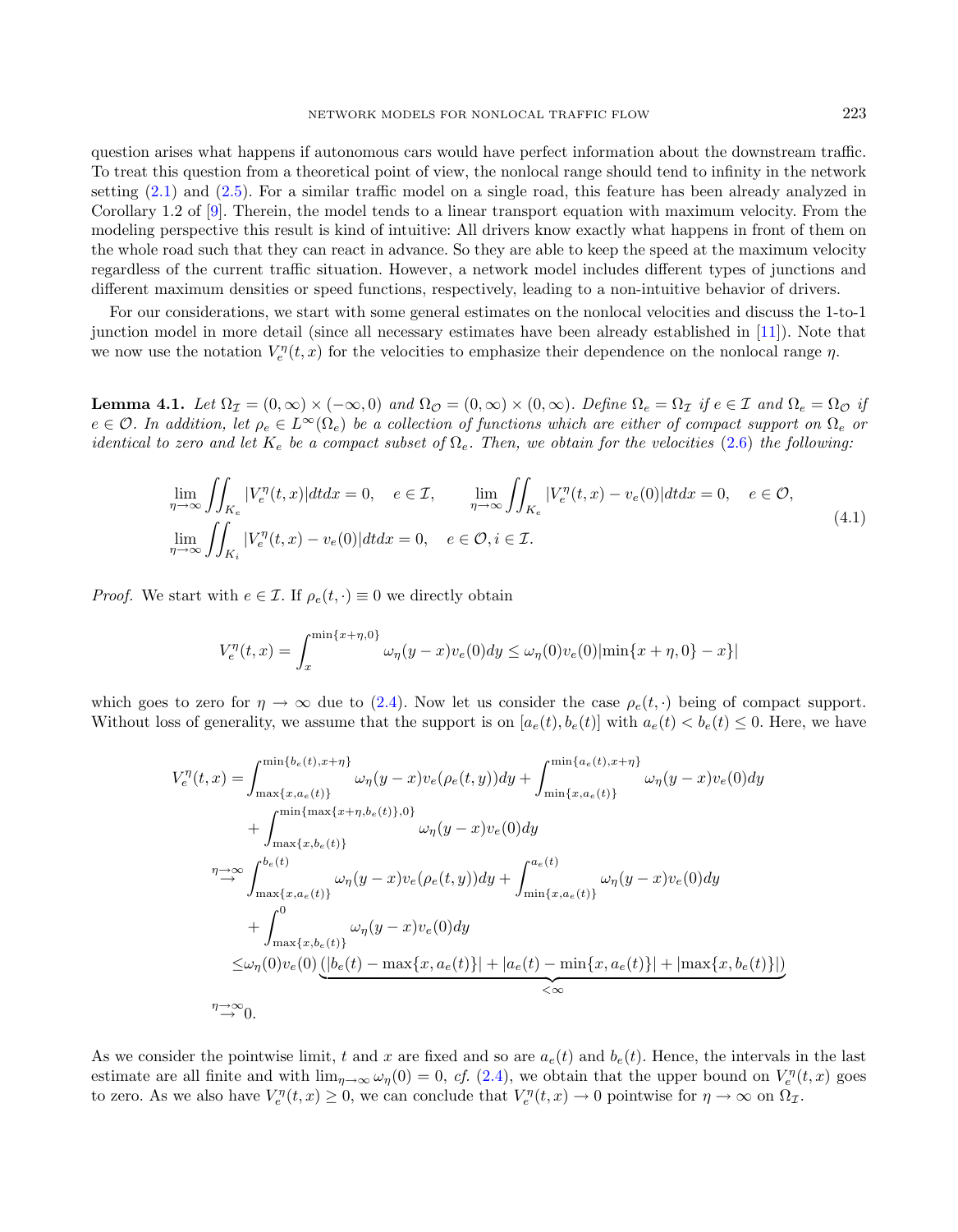question arises what happens if autonomous cars would have perfect information about the downstream traffic. To treat this question from a theoretical point of view, the nonlocal range should tend to infinity in the network setting [\(2.1\)](#page-1-0) and [\(2.5\)](#page-2-1). For a similar traffic model on a single road, this feature has been already analyzed in Corollary 1.2 of [\[9\]](#page-21-14). Therein, the model tends to a linear transport equation with maximum velocity. From the modeling perspective this result is kind of intuitive: All drivers know exactly what happens in front of them on the whole road such that they can react in advance. So they are able to keep the speed at the maximum velocity regardless of the current traffic situation. However, a network model includes different types of junctions and different maximum densities or speed functions, respectively, leading to a non-intuitive behavior of drivers.

For our considerations, we start with some general estimates on the nonlocal velocities and discuss the 1-to-1 junction model in more detail (since all necessary estimates have been already established in [\[11\]](#page-21-33)). Note that we now use the notation  $V_e^{\eta}(t, x)$  for the velocities to emphasize their dependence on the nonlocal range  $\eta$ .

<span id="page-10-0"></span>**Lemma 4.1.** Let  $\Omega_{\mathcal{I}} = (0, \infty) \times (-\infty, 0)$  and  $\Omega_{\mathcal{O}} = (0, \infty) \times (0, \infty)$ . Define  $\Omega_e = \Omega_{\mathcal{I}}$  if  $e \in \mathcal{I}$  and  $\Omega_e = \Omega_{\mathcal{O}}$  if  $e \in \mathcal{O}$ . In addition, let  $\rho_e \in L^{\infty}(\Omega_e)$  be a collection of functions which are either of compact support on  $\Omega_e$  or identical to zero and let  $K_e$  be a compact subset of  $\Omega_e$ . Then, we obtain for the velocities [\(2.6\)](#page-2-2) the following:

$$
\lim_{\eta \to \infty} \iint_{K_e} |V_e^{\eta}(t, x)| dt dx = 0, \quad e \in \mathcal{I}, \qquad \lim_{\eta \to \infty} \iint_{K_e} |V_e^{\eta}(t, x) - v_e(0)| dt dx = 0, \quad e \in \mathcal{O},
$$
\n
$$
\lim_{\eta \to \infty} \iint_{K_i} |V_e^{\eta}(t, x) - v_e(0)| dt dx = 0, \quad e \in \mathcal{O}, i \in \mathcal{I}.
$$
\n(4.1)

*Proof.* We start with  $e \in \mathcal{I}$ . If  $\rho_e(t, \cdot) \equiv 0$  we directly obtain

$$
V_e^{\eta}(t,x) = \int_x^{\min\{x+\eta,0\}} \omega_{\eta}(y-x)v_e(0)dy \le \omega_{\eta}(0)v_e(0)|\min\{x+\eta,0\}-x\}|
$$

which goes to zero for  $\eta \to \infty$  due to [\(2.4\)](#page-2-5). Now let us consider the case  $\rho_e(t, \cdot)$  being of compact support. Without loss of generality, we assume that the support is on  $[a_e(t), b_e(t)]$  with  $a_e(t) < b_e(t) \leq 0$ . Here, we have

$$
V_{e}^{\eta}(t,x) = \int_{\max\{x,a_e(t)\}}^{\min\{b_e(t),x+\eta\}} \omega_{\eta}(y-x)v_e(\rho_e(t,y))dy + \int_{\min\{x,a_e(t)\}}^{\min\{a_e(t),x+\eta\}} \omega_{\eta}(y-x)v_e(0)dy + \int_{\max\{x,b_e(t)\}}^{\min\{\max\{x+\eta,b_e(t)\},0\}} \omega_{\eta}(y-x)v_e(0)dy \n\int_{\max\{x,a_e(t)\}}^{\infty} \omega_{\eta}(y-x)v_e(\rho_e(t,y))dy + \int_{\min\{x,a_e(t)\}}^{a_e(t)} \omega_{\eta}(y-x)v_e(0)dy + \int_{\max\{x,b_e(t)\}}^{0} \omega_{\eta}(y-x)v_e(0)dy \n\leq \omega_{\eta}(0)v_e(0) \underbrace{(|b_e(t) - \max\{x,a_e(t)\}| + |a_e(t) - \min\{x,a_e(t)\}| + |\max\{x,b_e(t)\}|)}_{<\infty}
$$

As we consider the pointwise limit, t and x are fixed and so are  $a_e(t)$  and  $b_e(t)$ . Hence, the intervals in the last estimate are all finite and with  $\lim_{\eta\to\infty}\omega_{\eta}(0)=0$ , cf. [\(2.4\)](#page-2-5), we obtain that the upper bound on  $V_{e}^{\eta}(t,x)$  goes to zero. As we also have  $V_e^{\eta}(t, x) \geq 0$ , we can conclude that  $V_e^{\eta}(t, x) \to 0$  pointwise for  $\eta \to \infty$  on  $\Omega_{\mathcal{I}}$ .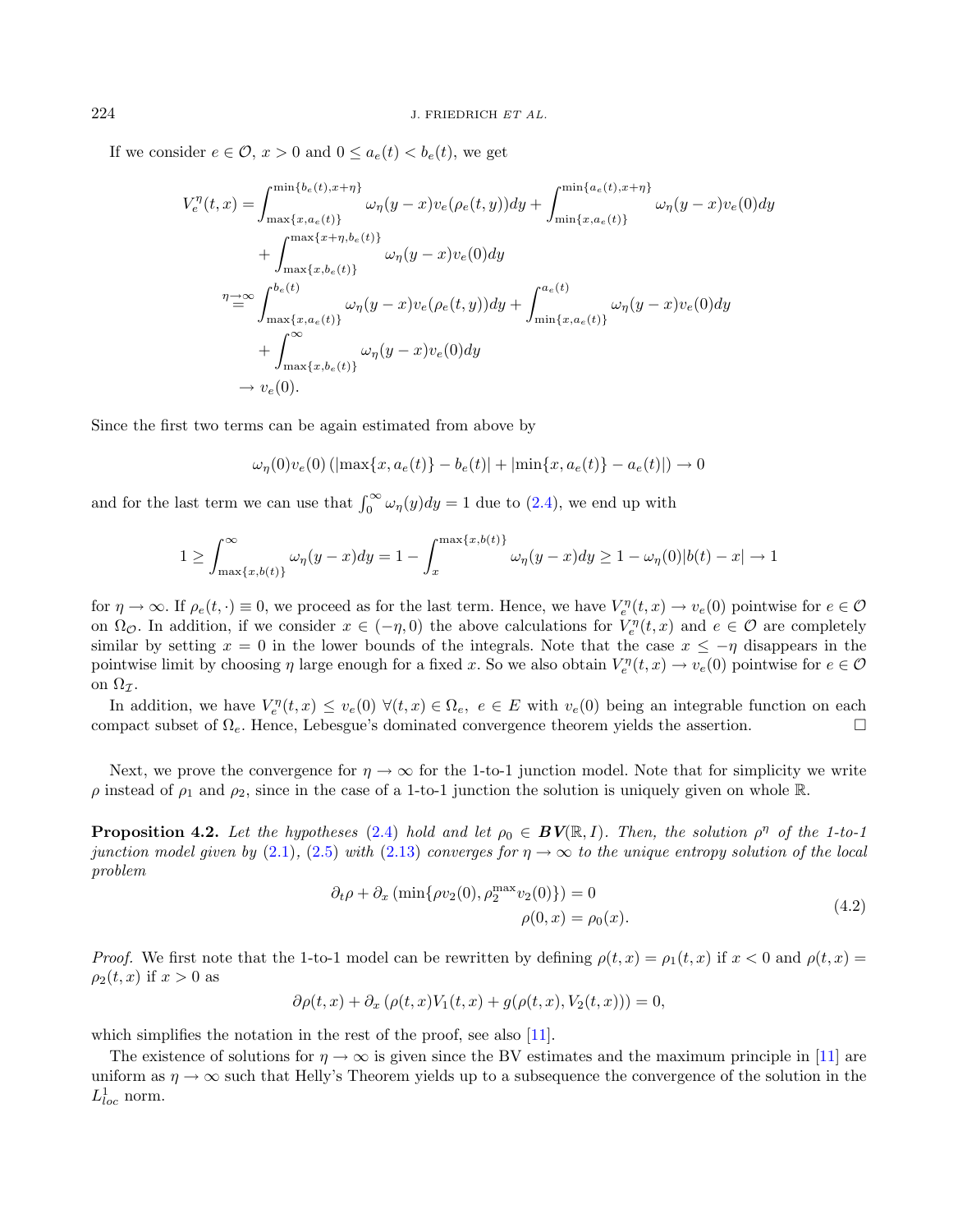If we consider  $e \in \mathcal{O}$ ,  $x > 0$  and  $0 \le a_e(t) < b_e(t)$ , we get

$$
V_{e}^{\eta}(t,x) = \int_{\max\{x,a_e(t)\}}^{\min\{b_e(t),x+\eta\}} \omega_{\eta}(y-x)v_e(\rho_e(t,y))dy + \int_{\min\{x,a_e(t)\}}^{\min\{a_e(t),x+\eta\}} \omega_{\eta}(y-x)v_e(0)dy + \int_{\max\{x,h_e(t)\}}^{\max\{x+\eta,b_e(t)\}} \omega_{\eta}(y-x)v_e(0)dy \eta \to \infty \int_{\max\{x,a_e(t)\}}^{b_e(t)} \omega_{\eta}(y-x)v_e(\rho_e(t,y))dy + \int_{\min\{x,a_e(t)\}}^{a_e(t)} \omega_{\eta}(y-x)v_e(0)dy + \int_{\max\{x,b_e(t)\}}^{\infty} \omega_{\eta}(y-x)v_e(0)dy \to v_e(0).
$$

Since the first two terms can be again estimated from above by

$$
\omega_\eta(0)v_e(0)\left(|\max\{x,a_e(t)\}-b_e(t)|+|\min\{x,a_e(t)\}-a_e(t)|\right)\rightarrow 0
$$

and for the last term we can use that  $\int_0^\infty \omega_\eta(y) dy = 1$  due to [\(2.4\)](#page-2-5), we end up with

$$
1 \geq \int_{\max\{x,b(t)\}}^{\infty} \omega_{\eta}(y-x) dy = 1 - \int_{x}^{\max\{x,b(t)\}} \omega_{\eta}(y-x) dy \geq 1 - \omega_{\eta}(0) |b(t) - x| \to 1
$$

<span id="page-11-0"></span>for  $\eta \to \infty$ . If  $\rho_e(t, \cdot) \equiv 0$ , we proceed as for the last term. Hence, we have  $V_e^{\eta}(t, x) \to v_e(0)$  pointwise for  $e \in \mathcal{O}$ on  $\Omega_{\mathcal{O}}$ . In addition, if we consider  $x \in (-\eta, 0)$  the above calculations for  $V_e^{\eta}(t, x)$  and  $e \in \mathcal{O}$  are completely similar by setting  $x = 0$  in the lower bounds of the integrals. Note that the case  $x \le -\eta$  disappears in the pointwise limit by choosing  $\eta$  large enough for a fixed x. So we also obtain  $V_e^{\eta}(t, x) \to v_e(0)$  pointwise for  $e \in \mathcal{O}$ on  $\Omega_{\mathcal{I}}$ .

In addition, we have  $V_e^{\eta}(t, x) \leq v_e(0) \ \forall (t, x) \in \Omega_e$ ,  $e \in E$  with  $v_e(0)$  being an integrable function on each compact subset of  $\Omega_e$ . Hence, Lebesgue's dominated convergence theorem yields the assertion.

Next, we prove the convergence for  $\eta \to \infty$  for the 1-to-1 junction model. Note that for simplicity we write  $\rho$  instead of  $\rho_1$  and  $\rho_2$ , since in the case of a 1-to-1 junction the solution is uniquely given on whole R.

<span id="page-11-1"></span>**Proposition 4.2.** Let the hypotheses [\(2.4\)](#page-2-5) hold and let  $\rho_0 \in BV(\mathbb{R}, I)$ . Then, the solution  $\rho^{\eta}$  of the 1-to-1 junction model given by [\(2.1\)](#page-1-0), [\(2.5\)](#page-2-1) with [\(2.13\)](#page-4-2) converges for  $\eta \to \infty$  to the unique entropy solution of the local problem

$$
\partial_t \rho + \partial_x \left( \min \{ \rho v_2(0), \rho_2^{\max} v_2(0) \} \right) = 0
$$
  
 
$$
\rho(0, x) = \rho_0(x). \tag{4.2}
$$

*Proof.* We first note that the 1-to-1 model can be rewritten by defining  $\rho(t, x) = \rho_1(t, x)$  if  $x < 0$  and  $\rho(t, x) =$  $\rho_2(t, x)$  if  $x > 0$  as

$$
\partial \rho(t,x) + \partial_x \left( \rho(t,x) V_1(t,x) + g(\rho(t,x), V_2(t,x)) \right) = 0,
$$

which simplifies the notation in the rest of the proof, see also [\[11\]](#page-21-33).

The existence of solutions for  $\eta \to \infty$  is given since the BV estimates and the maximum principle in [\[11\]](#page-21-33) are uniform as  $\eta \to \infty$  such that Helly's Theorem yields up to a subsequence the convergence of the solution in the  $L^1_{loc}$  norm.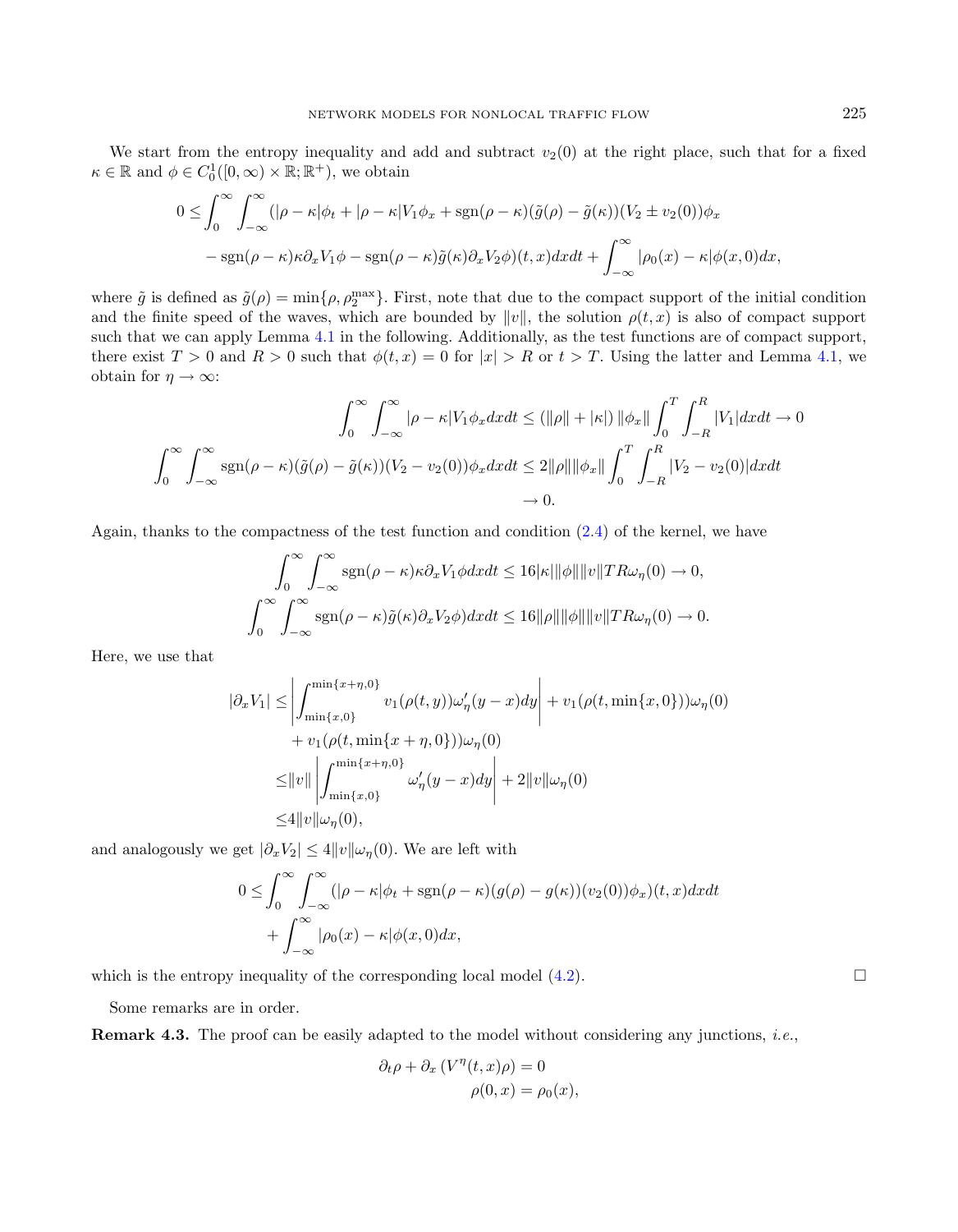We start from the entropy inequality and add and subtract  $v_2(0)$  at the right place, such that for a fixed  $\kappa \in \mathbb{R}$  and  $\phi \in C_0^1([0,\infty) \times \mathbb{R}; \mathbb{R}^+)$ , we obtain

$$
0 \leq \int_0^{\infty} \int_{-\infty}^{\infty} (|\rho - \kappa| \phi_t + |\rho - \kappa| V_1 \phi_x + \text{sgn}(\rho - \kappa)(\tilde{g}(\rho) - \tilde{g}(\kappa))(V_2 \pm v_2(0)) \phi_x
$$
  
- sgn( $\rho - \kappa$ ) $\kappa \partial_x V_1 \phi - \text{sgn}(\rho - \kappa)\tilde{g}(\kappa) \partial_x V_2 \phi(t, x) dx dt + \int_{-\infty}^{\infty} |\rho_0(x) - \kappa| \phi(x, 0) dx,$ 

where  $\tilde{g}$  is defined as  $\tilde{g}(\rho) = \min\{\rho, \rho_2^{\max}\}\.$  First, note that due to the compact support of the initial condition and the finite speed of the waves, which are bounded by  $||v||$ , the solution  $\rho(t, x)$  is also of compact support such that we can apply Lemma [4.1](#page-10-0) in the following. Additionally, as the test functions are of compact support, there exist  $T > 0$  and  $R > 0$  such that  $\phi(t, x) = 0$  for  $|x| > R$  or  $t > T$ . Using the latter and Lemma [4.1,](#page-10-0) we obtain for  $\eta \to \infty$ :

$$
\int_0^\infty \int_{-\infty}^\infty |\rho - \kappa |V_1 \phi_x dx dt \le (||\rho|| + |\kappa|) ||\phi_x|| \int_0^T \int_{-R}^R |V_1| dx dt \to 0
$$

$$
\int_0^\infty \int_{-\infty}^\infty \text{sgn}(\rho - \kappa)(\tilde{g}(\rho) - \tilde{g}(\kappa))(V_2 - v_2(0)) \phi_x dx dt \le 2||\rho|| ||\phi_x|| \int_0^T \int_{-R}^R |V_2 - v_2(0)| dx dt
$$

$$
\to 0.
$$

Again, thanks to the compactness of the test function and condition  $(2.4)$  of the kernel, we have

$$
\int_0^\infty \int_{-\infty}^\infty \text{sgn}(\rho - \kappa) \kappa \partial_x V_1 \phi dx dt \le 16|\kappa| ||\phi|| ||v|| T R \omega_\eta(0) \to 0,
$$
  

$$
\int_0^\infty \int_{-\infty}^\infty \text{sgn}(\rho - \kappa) \tilde{g}(\kappa) \partial_x V_2 \phi dx dt \le 16||\rho|| ||\phi|| ||v|| T R \omega_\eta(0) \to 0.
$$

Here, we use that

$$
|\partial_x V_1| \le \left| \int_{\min\{x,0\}}^{\min\{x+\eta,0\}} v_1(\rho(t,y)) \omega_{\eta}'(y-x) dy \right| + v_1(\rho(t,\min\{x,0\})) \omega_{\eta}(0) + v_1(\rho(t,\min\{x+\eta,0\})) \omega_{\eta}(0) \le \|v\| \left| \int_{\min\{x,0\}}^{\min\{x+\eta,0\}} \omega_{\eta}'(y-x) dy \right| + 2\|v\|\omega_{\eta}(0) \le 4\|v\|\omega_{\eta}(0),
$$

and analogously we get  $|\partial_x V_2| \leq 4 ||v|| \omega_{\eta}(0)$ . We are left with

$$
0 \leq \int_0^\infty \int_{-\infty}^\infty (|\rho - \kappa| \phi_t + \text{sgn}(\rho - \kappa)(g(\rho) - g(\kappa))(v_2(0))\phi_x)(t, x) dx dt + \int_{-\infty}^\infty |\rho_0(x) - \kappa| \phi(x, 0) dx,
$$

which is the entropy inequality of the corresponding local model  $(4.2)$ .

Some remarks are in order.

Remark 4.3. The proof can be easily adapted to the model without considering any junctions, *i.e.*,

$$
\partial_t \rho + \partial_x \left( V^{\eta}(t, x) \rho \right) = 0
$$
  

$$
\rho(0, x) = \rho_0(x),
$$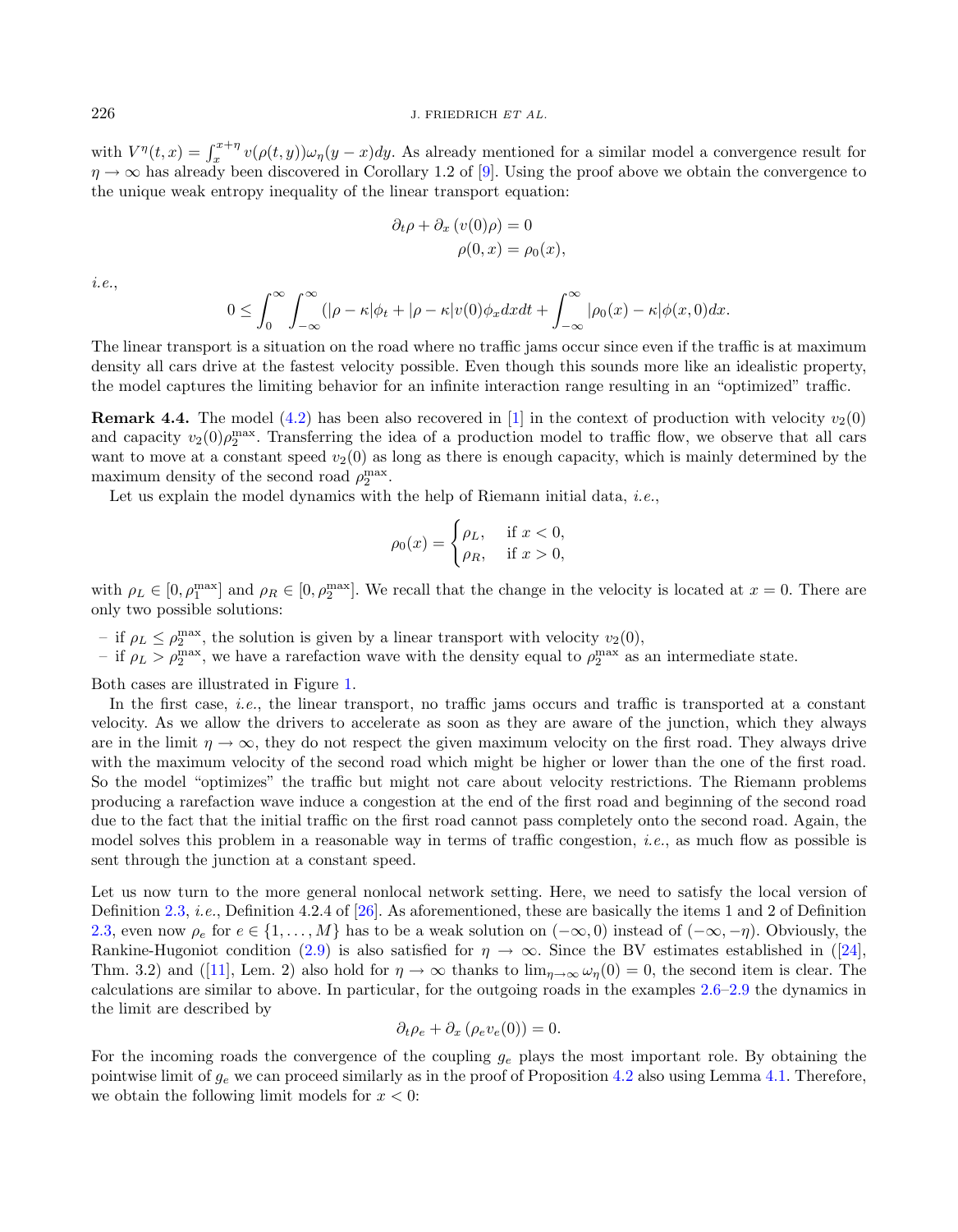with  $V^{\eta}(t,x) = \int_x^{x+\eta} v(\rho(t,y))\omega_{\eta}(y-x)dy$ . As already mentioned for a similar model a convergence result for  $\eta \to \infty$  has already been discovered in Corollary 1.2 of [\[9\]](#page-21-14). Using the proof above we obtain the convergence to the unique weak entropy inequality of the linear transport equation:

$$
\partial_t \rho + \partial_x (v(0)\rho) = 0
$$
  

$$
\rho(0, x) = \rho_0(x),
$$

i.e.,

$$
0 \leq \int_0^\infty \int_{-\infty}^\infty (|\rho - \kappa| \phi_t + |\rho - \kappa| v(0) \phi_x dx dt + \int_{-\infty}^\infty |\rho_0(x) - \kappa| \phi(x, 0) dx.
$$

The linear transport is a situation on the road where no traffic jams occur since even if the traffic is at maximum density all cars drive at the fastest velocity possible. Even though this sounds more like an idealistic property, the model captures the limiting behavior for an infinite interaction range resulting in an "optimized" traffic.

**Remark 4.4.** The model [\(4.2\)](#page-11-0) has been also recovered in [\[1\]](#page-20-2) in the context of production with velocity  $v_2(0)$ and capacity  $v_2(0)\rho_2^{\max}$ . Transferring the idea of a production model to traffic flow, we observe that all cars want to move at a constant speed  $v_2(0)$  as long as there is enough capacity, which is mainly determined by the maximum density of the second road  $\rho_2^{\max}$ .

Let us explain the model dynamics with the help of Riemann initial data, *i.e.*,

$$
\rho_0(x) = \begin{cases} \rho_L, & \text{if } x < 0, \\ \rho_R, & \text{if } x > 0, \end{cases}
$$

with  $\rho_L \in [0, \rho_1^{\max}]$  and  $\rho_R \in [0, \rho_2^{\max}]$ . We recall that the change in the velocity is located at  $x = 0$ . There are only two possible solutions:

- if  $\rho_L \leq \rho_2^{\text{max}}$ , the solution is given by a linear transport with velocity  $v_2(0)$ ,
- if  $\rho_L > \rho_2^{\text{max}}$ , we have a rarefaction wave with the density equal to  $\rho_2^{\text{max}}$  as an intermediate state.

Both cases are illustrated in Figure [1.](#page-14-1)

In the first case, i.e., the linear transport, no traffic jams occurs and traffic is transported at a constant velocity. As we allow the drivers to accelerate as soon as they are aware of the junction, which they always are in the limit  $\eta \to \infty$ , they do not respect the given maximum velocity on the first road. They always drive with the maximum velocity of the second road which might be higher or lower than the one of the first road. So the model "optimizes" the traffic but might not care about velocity restrictions. The Riemann problems producing a rarefaction wave induce a congestion at the end of the first road and beginning of the second road due to the fact that the initial traffic on the first road cannot pass completely onto the second road. Again, the model solves this problem in a reasonable way in terms of traffic congestion, i.e., as much flow as possible is sent through the junction at a constant speed.

Let us now turn to the more general nonlocal network setting. Here, we need to satisfy the local version of Definition [2.3,](#page-2-3) i.e., Definition 4.2.4 of [\[26\]](#page-21-7). As aforementioned, these are basically the items 1 and 2 of Definition [2.3,](#page-2-3) even now  $\rho_e$  for  $e \in \{1, \ldots, M\}$  has to be a weak solution on  $(-\infty, 0)$  instead of  $(-\infty, -\eta)$ . Obviously, the Rankine-Hugoniot condition [\(2.9\)](#page-3-2) is also satisfied for  $\eta \to \infty$ . Since the BV estimates established in ([\[24\]](#page-21-16), Thm. 3.2) and ([\[11\]](#page-21-33), Lem. 2) also hold for  $\eta \to \infty$  thanks to  $\lim_{n\to\infty} \omega_n(0) = 0$ , the second item is clear. The calculations are similar to above. In particular, for the outgoing roads in the examples [2.6–](#page-5-2)[2.9](#page-6-4) the dynamics in the limit are described by

$$
\partial_t \rho_e + \partial_x (\rho_e v_e(0)) = 0.
$$

For the incoming roads the convergence of the coupling  $g_e$  plays the most important role. By obtaining the pointwise limit of  $g_e$  we can proceed similarly as in the proof of Proposition [4.2](#page-11-1) also using Lemma [4.1.](#page-10-0) Therefore, we obtain the following limit models for  $x < 0$ :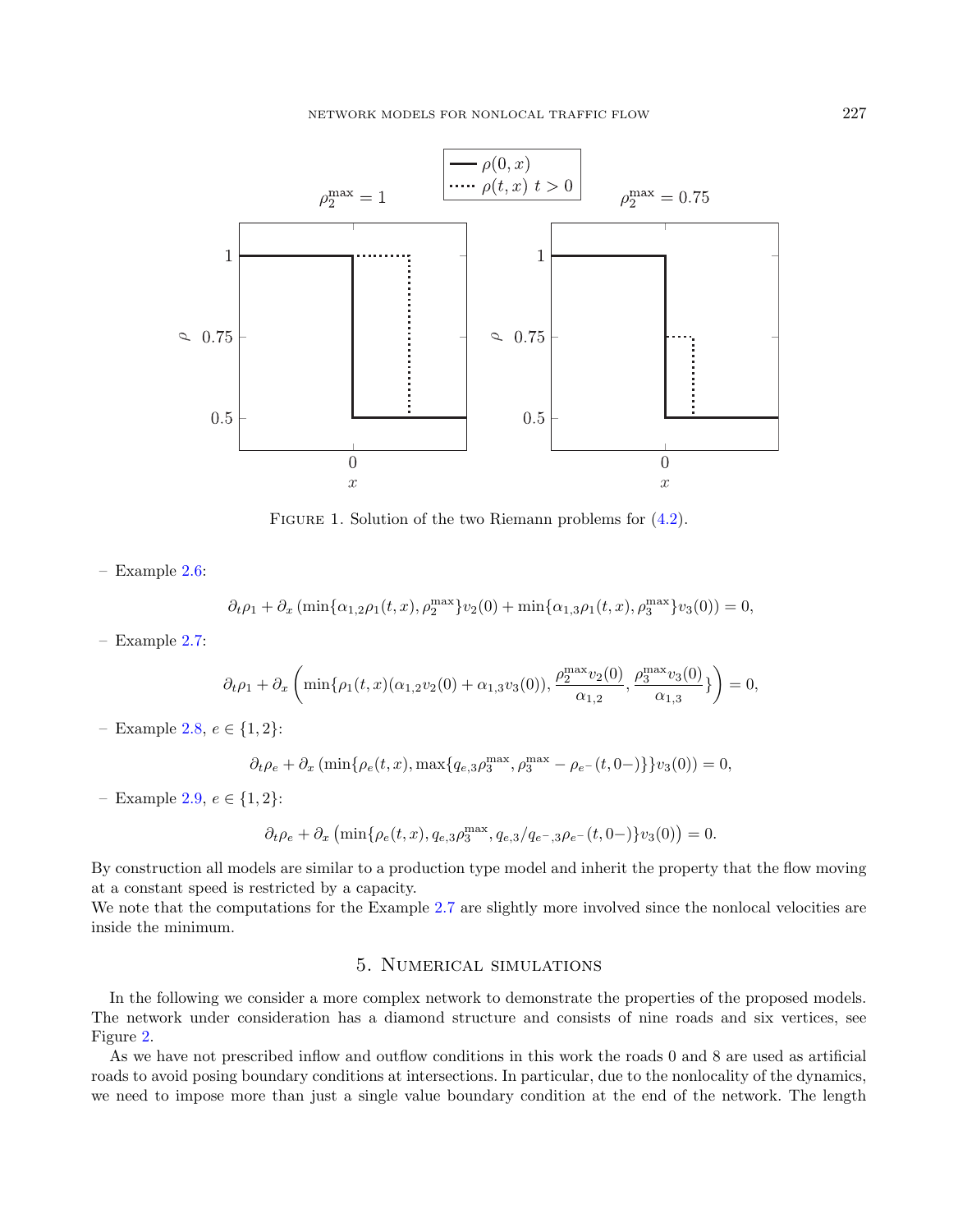

<span id="page-14-1"></span>FIGURE 1. Solution of the two Riemann problems for  $(4.2)$ .

– Example [2.6:](#page-5-2)

$$
\partial_t \rho_1 + \partial_x \left( \min\{\alpha_{1,2}\rho_1(t,x), \rho_2^{\max}\} v_2(0) + \min\{\alpha_{1,3}\rho_1(t,x), \rho_3^{\max}\} v_3(0) \right) = 0,
$$

– Example [2.7:](#page-5-3)

$$
\partial_t \rho_1 + \partial_x \left( \min\{\rho_1(t,x)(\alpha_{1,2}v_2(0) + \alpha_{1,3}v_3(0)), \frac{\rho_2^{\max} v_2(0)}{\alpha_{1,2}}, \frac{\rho_3^{\max} v_3(0)}{\alpha_{1,3}} \} \right) = 0,
$$

– Example [2.8,](#page-6-5)  $e \in \{1, 2\}$ :

$$
\partial_t \rho_e + \partial_x \left( \min \{ \rho_e(t, x), \max \{ q_{e,3} \rho_3^{\max}, \rho_3^{\max} - \rho_{e-}(t, 0) \} \} v_3(0) \right) = 0,
$$

– Example [2.9,](#page-6-4)  $e \in \{1, 2\}$ :

$$
\partial_t \rho_e + \partial_x \left( \min \{ \rho_e(t, x), q_{e,3} \rho_3^{\max}, q_{e,3}/q_{e^-,3} \rho_{e^-}(t, 0^-) \} v_3(0) \right) = 0.
$$

By construction all models are similar to a production type model and inherit the property that the flow moving at a constant speed is restricted by a capacity.

We note that the computations for the Example [2.7](#page-5-3) are slightly more involved since the nonlocal velocities are inside the minimum.

# 5. Numerical simulations

<span id="page-14-0"></span>In the following we consider a more complex network to demonstrate the properties of the proposed models. The network under consideration has a diamond structure and consists of nine roads and six vertices, see Figure [2.](#page-15-0)

As we have not prescribed inflow and outflow conditions in this work the roads 0 and 8 are used as artificial roads to avoid posing boundary conditions at intersections. In particular, due to the nonlocality of the dynamics, we need to impose more than just a single value boundary condition at the end of the network. The length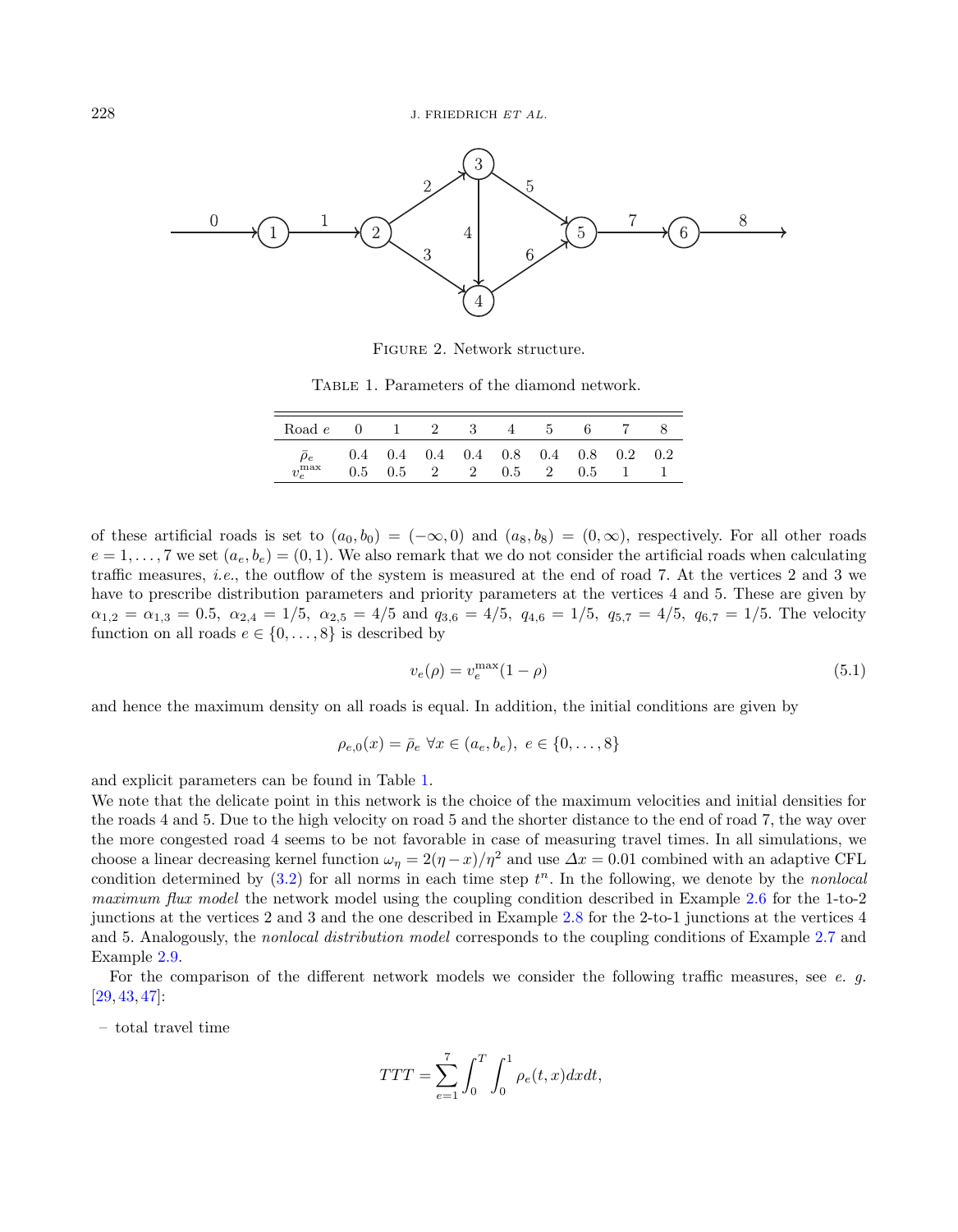

<span id="page-15-2"></span><span id="page-15-1"></span><span id="page-15-0"></span>Figure 2. Network structure.

Table 1. Parameters of the diamond network.

| Road <i>e</i> 0 1 2 3 4 5 6 7 8 |  |  |                                             |  |  |
|---------------------------------|--|--|---------------------------------------------|--|--|
| $\rho_e$                        |  |  | $0.4$ 0.4 0.4 0.4 0.8 0.4 0.8 0.2 0.2       |  |  |
| $v_e^{\max}$                    |  |  | $0.5 \t0.5 \t2 \t2 \t0.5 \t2 \t0.5 \t1 \t1$ |  |  |

of these artificial roads is set to  $(a_0, b_0) = (-\infty, 0)$  and  $(a_8, b_8) = (0, \infty)$ , respectively. For all other roads  $e = 1, \ldots, 7$  we set  $(a_e, b_e) = (0, 1)$ . We also remark that we do not consider the artificial roads when calculating traffic measures, i.e., the outflow of the system is measured at the end of road 7. At the vertices 2 and 3 we have to prescribe distribution parameters and priority parameters at the vertices 4 and 5. These are given by  $\alpha_{1,2} = \alpha_{1,3} = 0.5$ ,  $\alpha_{2,4} = 1/5$ ,  $\alpha_{2,5} = 4/5$  and  $q_{3,6} = 4/5$ ,  $q_{4,6} = 1/5$ ,  $q_{5,7} = 4/5$ ,  $q_{6,7} = 1/5$ . The velocity function on all roads  $e \in \{0, \ldots, 8\}$  is described by

$$
v_e(\rho) = v_e^{\text{max}}(1 - \rho) \tag{5.1}
$$

and hence the maximum density on all roads is equal. In addition, the initial conditions are given by

$$
\rho_{e,0}(x) = \bar{\rho}_e \,\,\forall x \in (a_e, b_e), \, e \in \{0, \dots, 8\}
$$

and explicit parameters can be found in Table [1.](#page-15-1)

We note that the delicate point in this network is the choice of the maximum velocities and initial densities for the roads 4 and 5. Due to the high velocity on road 5 and the shorter distance to the end of road 7, the way over the more congested road 4 seems to be not favorable in case of measuring travel times. In all simulations, we choose a linear decreasing kernel function  $\omega_n = 2(\eta - x)/\eta^2$  and use  $\Delta x = 0.01$  combined with an adaptive CFL condition determined by  $(3.2)$  for all norms in each time step  $t^n$ . In the following, we denote by the *nonlocal* maximum flux model the network model using the coupling condition described in Example [2.6](#page-5-2) for the 1-to-2 junctions at the vertices 2 and 3 and the one described in Example [2.8](#page-6-5) for the 2-to-1 junctions at the vertices 4 and 5. Analogously, the nonlocal distribution model corresponds to the coupling conditions of Example [2.7](#page-5-3) and Example [2.9.](#page-6-4)

For the comparison of the different network models we consider the following traffic measures, see e. q. [\[29,](#page-21-11) [43,](#page-22-7) [47\]](#page-22-8):

– total travel time

$$
TTT = \sum_{e=1}^{7} \int_0^T \int_0^1 \rho_e(t, x) dx dt,
$$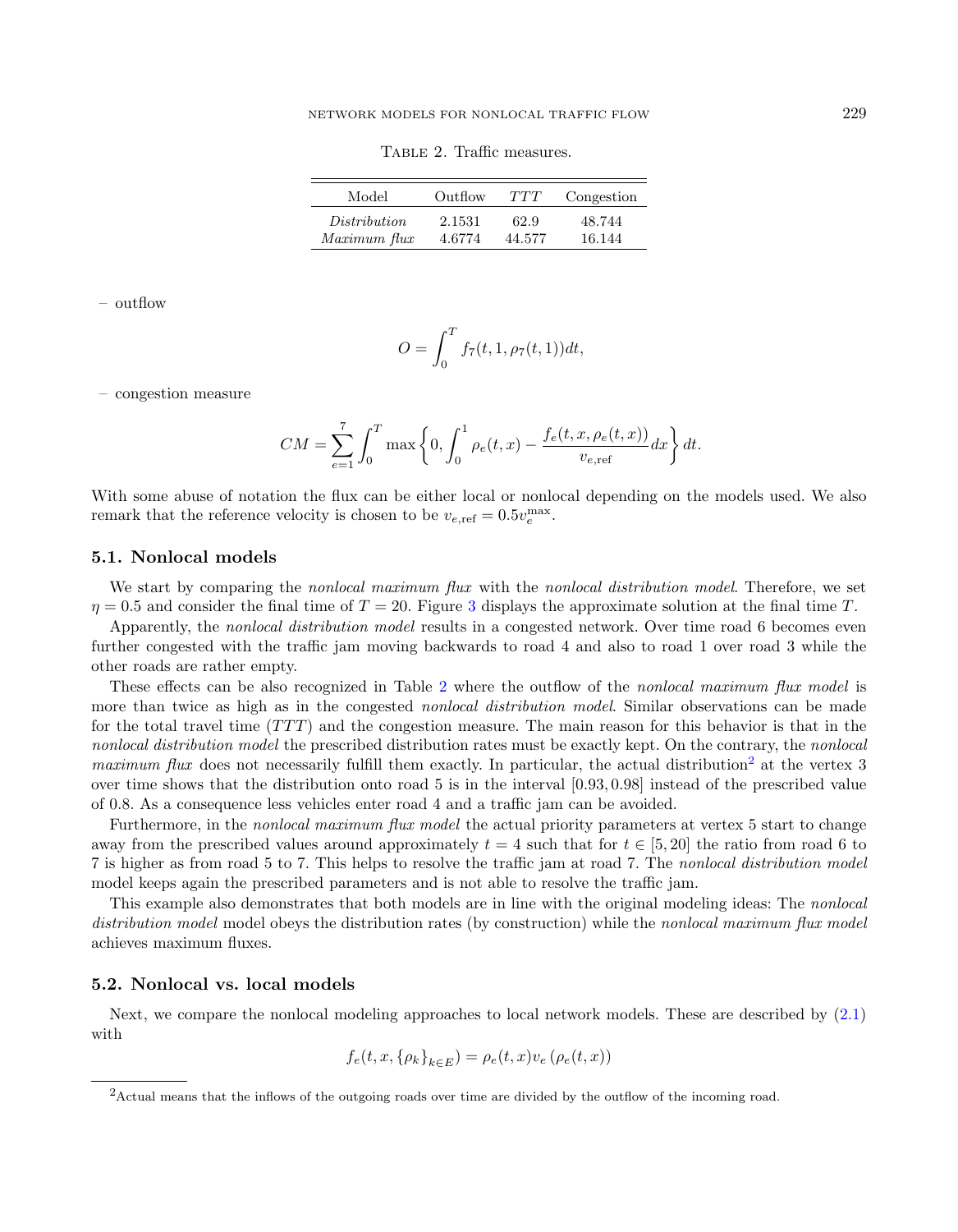<span id="page-16-0"></span>Table 2. Traffic measures.

| Model        | Outflow | TTT    | Congestion |
|--------------|---------|--------|------------|
| Distribution | 2.1531  | 62.9   | 48.744     |
| Maximum flux | 4.6774  | 44.577 | 16.144     |

– outflow

$$
O = \int_0^T f_7(t, 1, \rho_7(t, 1)) dt,
$$

– congestion measure

$$
CM = \sum_{e=1}^{7} \int_0^T \max\left\{0, \int_0^1 \rho_e(t, x) - \frac{f_e(t, x, \rho_e(t, x))}{v_{e, \text{ref}}}\,dx\right\} dt.
$$

With some abuse of notation the flux can be either local or nonlocal depending on the models used. We also remark that the reference velocity is chosen to be  $v_{e,ref} = 0.5v_e^{\text{max}}$ .

## 5.1. Nonlocal models

We start by comparing the nonlocal maximum flux with the nonlocal distribution model. Therefore, we set  $\eta = 0.5$  and consider the final time of  $T = 20$ . Figure [3](#page-17-0) displays the approximate solution at the final time T.

Apparently, the nonlocal distribution model results in a congested network. Over time road 6 becomes even further congested with the traffic jam moving backwards to road 4 and also to road 1 over road 3 while the other roads are rather empty.

These effects can be also recognized in Table [2](#page-16-0) where the outflow of the nonlocal maximum flux model is more than twice as high as in the congested *nonlocal distribution model*. Similar observations can be made for the total travel time  $(TTT)$  and the congestion measure. The main reason for this behavior is that in the nonlocal distribution model the prescribed distribution rates must be exactly kept. On the contrary, the nonlocal maximum flux does not necessarily fulfill them exactly. In particular, the actual distribution<sup>[2](#page-16-1)</sup> at the vertex 3 over time shows that the distribution onto road 5 is in the interval [0.93, 0.98] instead of the prescribed value of 0.8. As a consequence less vehicles enter road 4 and a traffic jam can be avoided.

Furthermore, in the nonlocal maximum flux model the actual priority parameters at vertex 5 start to change away from the prescribed values around approximately  $t = 4$  such that for  $t \in [5, 20]$  the ratio from road 6 to 7 is higher as from road 5 to 7. This helps to resolve the traffic jam at road 7. The nonlocal distribution model model keeps again the prescribed parameters and is not able to resolve the traffic jam.

<span id="page-16-1"></span>This example also demonstrates that both models are in line with the original modeling ideas: The nonlocal distribution model model obeys the distribution rates (by construction) while the nonlocal maximum flux model achieves maximum fluxes.

## 5.2. Nonlocal vs. local models

Next, we compare the nonlocal modeling approaches to local network models. These are described by [\(2.1\)](#page-1-0) with

$$
f_e(t, x, \{\rho_k\}_{k \in E}) = \rho_e(t, x)v_e(\rho_e(t, x))
$$

<sup>&</sup>lt;sup>2</sup>Actual means that the inflows of the outgoing roads over time are divided by the outflow of the incoming road.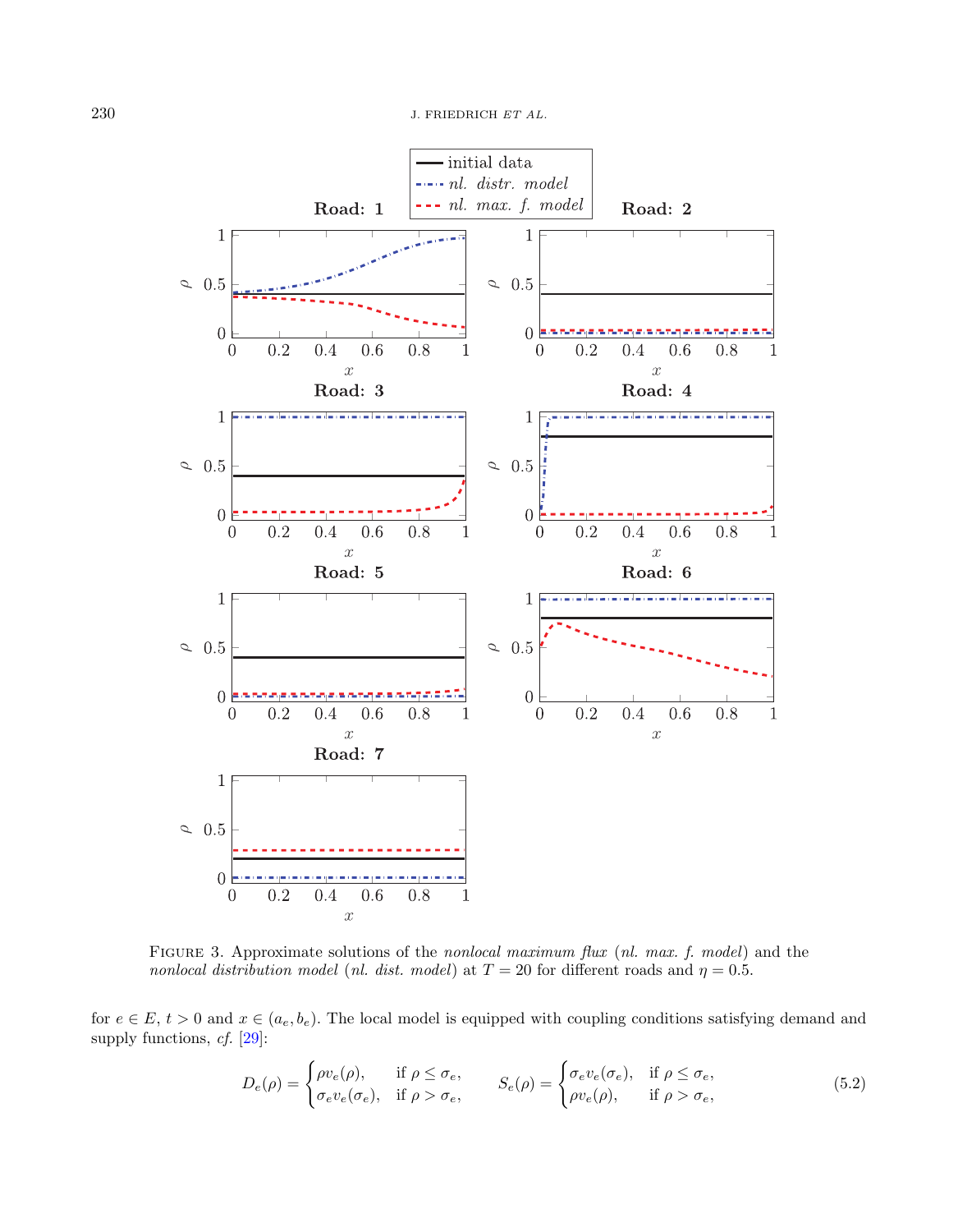

<span id="page-17-0"></span>FIGURE 3. Approximate solutions of the nonlocal maximum flux (nl. max. f. model) and the nonlocal distribution model (nl. dist. model) at  $T = 20$  for different roads and  $\eta = 0.5$ .

for  $e \in E$ ,  $t > 0$  and  $x \in (a_e, b_e)$ . The local model is equipped with coupling conditions satisfying demand and supply functions, cf. [\[29\]](#page-21-11):

$$
D_e(\rho) = \begin{cases} \rho v_e(\rho), & \text{if } \rho \le \sigma_e, \\ \sigma_e v_e(\sigma_e), & \text{if } \rho > \sigma_e, \end{cases} \qquad S_e(\rho) = \begin{cases} \sigma_e v_e(\sigma_e), & \text{if } \rho \le \sigma_e, \\ \rho v_e(\rho), & \text{if } \rho > \sigma_e, \end{cases}
$$
 (5.2)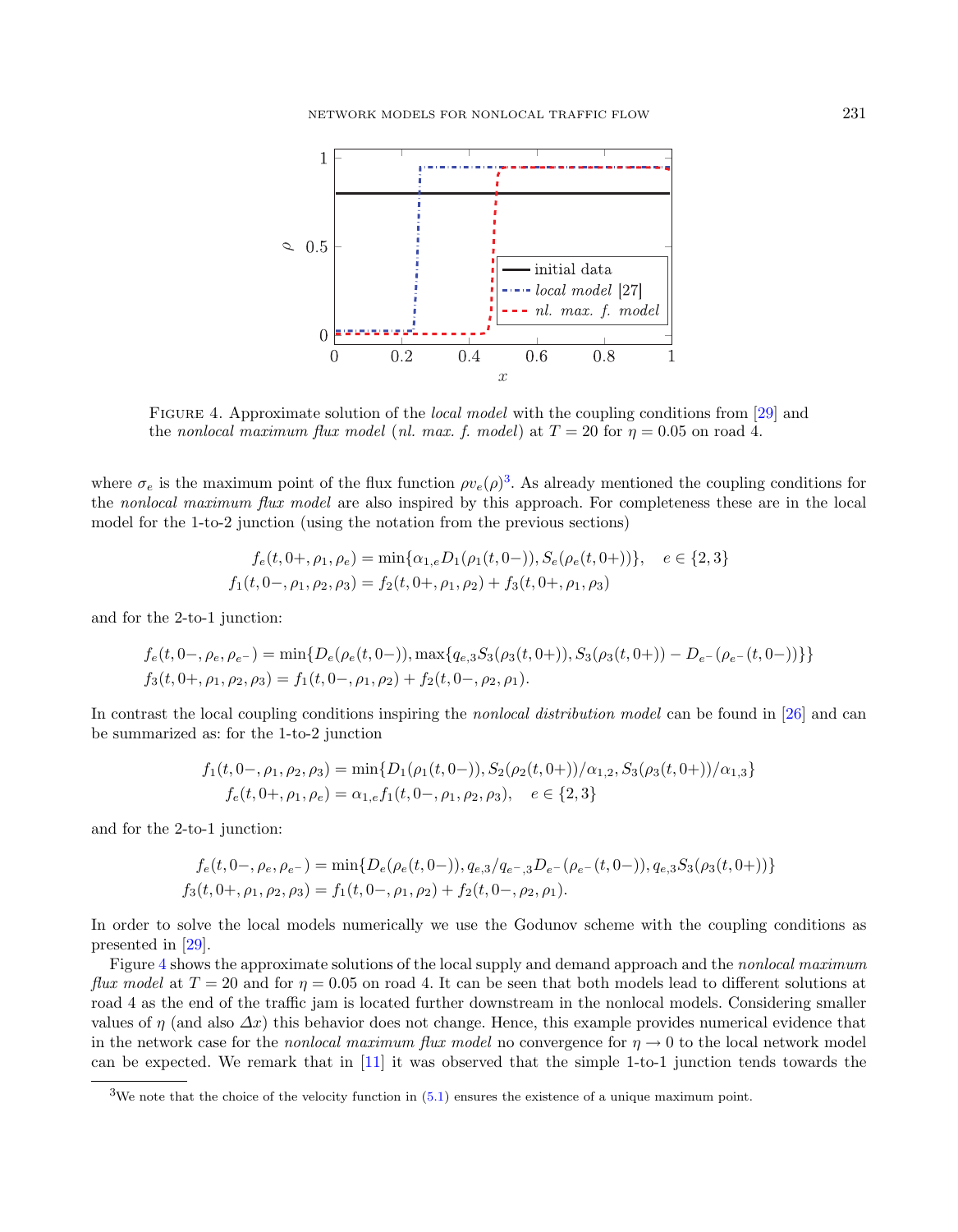<span id="page-18-1"></span>

FIGURE 4. Approximate solution of the *local model* with the coupling conditions from [\[29\]](#page-21-11) and the nonlocal maximum flux model (nl. max. f. model) at  $T = 20$  for  $\eta = 0.05$  on road 4.

where  $\sigma_e$  is the maximum point of the flux function  $\rho v_e(\rho)^3$  $\rho v_e(\rho)^3$ . As already mentioned the coupling conditions for the nonlocal maximum flux model are also inspired by this approach. For completeness these are in the local model for the 1-to-2 junction (using the notation from the previous sections)

$$
f_e(t, 0+, \rho_1, \rho_e) = \min\{\alpha_{1,e}D_1(\rho_1(t, 0-)), S_e(\rho_e(t, 0+))\}, e \in \{2, 3\}
$$
  

$$
f_1(t, 0-, \rho_1, \rho_2, \rho_3) = f_2(t, 0+, \rho_1, \rho_2) + f_3(t, 0+, \rho_1, \rho_3)
$$

and for the 2-to-1 junction:

$$
f_e(t, 0-, \rho_e, \rho_{e^-}) = \min\{D_e(\rho_e(t, 0-)), \max\{q_{e,3}S_3(\rho_3(t, 0+)), S_3(\rho_3(t, 0+)) - D_{e^-}(\rho_{e^-}(t, 0-))\}\}
$$
  

$$
f_3(t, 0+, \rho_1, \rho_2, \rho_3) = f_1(t, 0-, \rho_1, \rho_2) + f_2(t, 0-, \rho_2, \rho_1).
$$

In contrast the local coupling conditions inspiring the *nonlocal distribution model* can be found in [\[26\]](#page-21-7) and can be summarized as: for the 1-to-2 junction

$$
f_1(t, 0-, \rho_1, \rho_2, \rho_3) = \min\{D_1(\rho_1(t, 0-)), S_2(\rho_2(t, 0+))/\alpha_{1,2}, S_3(\rho_3(t, 0+))/\alpha_{1,3}\}\
$$
  

$$
f_e(t, 0+, \rho_1, \rho_e) = \alpha_{1,e} f_1(t, 0-, \rho_1, \rho_2, \rho_3), \quad e \in \{2, 3\}
$$

<span id="page-18-0"></span>and for the 2-to-1 junction:

$$
f_e(t, 0-, \rho_e, \rho_{e^-}) = \min\{D_e(\rho_e(t, 0-)), q_{e,3}/q_{e^-,3}D_{e^-}(\rho_{e^-}(t, 0-)), q_{e,3}S_3(\rho_3(t, 0+))\}
$$
  

$$
f_3(t, 0+, \rho_1, \rho_2, \rho_3) = f_1(t, 0-, \rho_1, \rho_2) + f_2(t, 0-, \rho_2, \rho_1).
$$

In order to solve the local models numerically we use the Godunov scheme with the coupling conditions as presented in [\[29\]](#page-21-11).

Figure [4](#page-18-1) shows the approximate solutions of the local supply and demand approach and the *nonlocal maximum* flux model at  $T = 20$  and for  $\eta = 0.05$  on road 4. It can be seen that both models lead to different solutions at road 4 as the end of the traffic jam is located further downstream in the nonlocal models. Considering smaller values of  $\eta$  (and also  $\Delta x$ ) this behavior does not change. Hence, this example provides numerical evidence that in the network case for the *nonlocal maximum flux model* no convergence for  $\eta \to 0$  to the local network model can be expected. We remark that in [\[11\]](#page-21-33) it was observed that the simple 1-to-1 junction tends towards the

<sup>&</sup>lt;sup>3</sup>We note that the choice of the velocity function in  $(5.1)$  ensures the existence of a unique maximum point.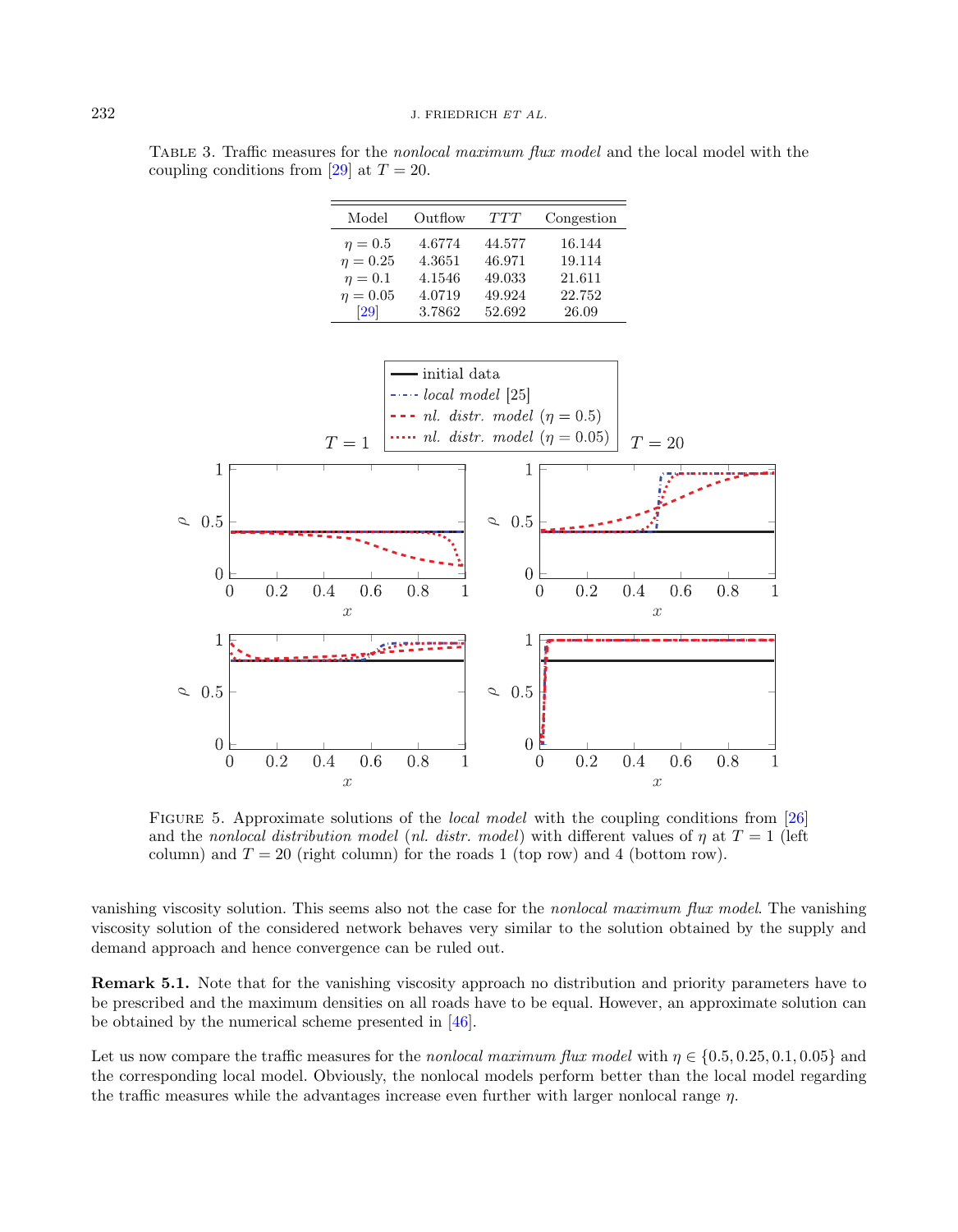Table 3. Traffic measures for the nonlocal maximum flux model and the local model with the coupling conditions from [\[29\]](#page-21-11) at  $T = 20$ .

| Model         | Outflow | TTT    | Congestion |
|---------------|---------|--------|------------|
| $\eta=0.5$    | 4.6774  | 44.577 | 16.144     |
| $\eta = 0.25$ | 4.3651  | 46.971 | 19.114     |
| $\eta=0.1$    | 4.1546  | 49.033 | 21.611     |
| $\eta = 0.05$ | 4.0719  | 49.924 | 22.752     |
| 29            | 3.7862  | 52.692 | 26.09      |



<span id="page-19-0"></span>FIGURE 5. Approximate solutions of the *local model* with the coupling conditions from [\[26\]](#page-21-7) and the nonlocal distribution model (nl. distr. model) with different values of  $\eta$  at  $T=1$  (left column) and  $T = 20$  (right column) for the roads 1 (top row) and 4 (bottom row).

vanishing viscosity solution. This seems also not the case for the nonlocal maximum flux model. The vanishing viscosity solution of the considered network behaves very similar to the solution obtained by the supply and demand approach and hence convergence can be ruled out.

Remark 5.1. Note that for the vanishing viscosity approach no distribution and priority parameters have to be prescribed and the maximum densities on all roads have to be equal. However, an approximate solution can be obtained by the numerical scheme presented in [\[46\]](#page-22-9).

Let us now compare the traffic measures for the nonlocal maximum flux model with  $\eta \in \{0.5, 0.25, 0.1, 0.05\}$  and the corresponding local model. Obviously, the nonlocal models perform better than the local model regarding the traffic measures while the advantages increase even further with larger nonlocal range  $n$ .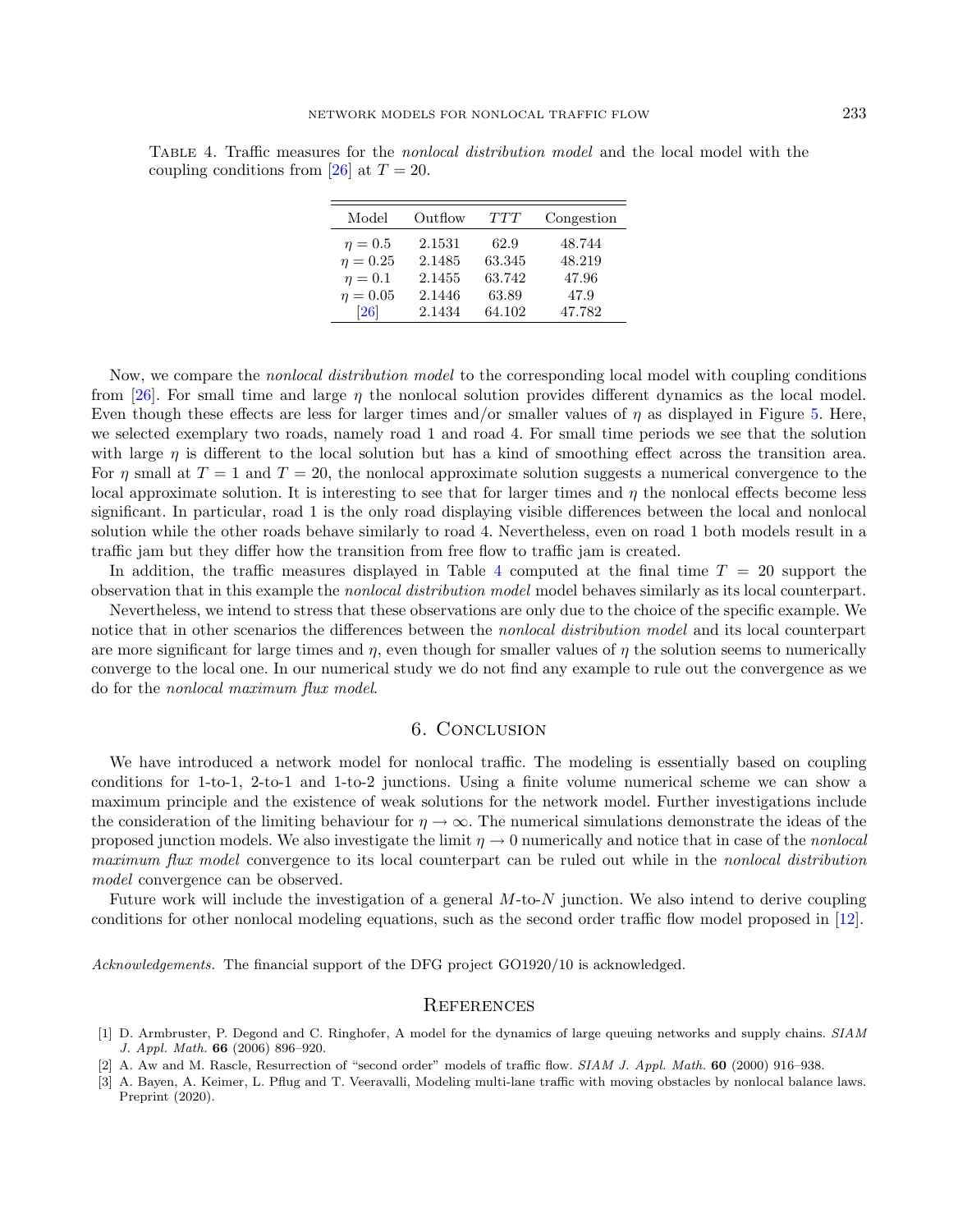<span id="page-20-3"></span>Table 4. Traffic measures for the nonlocal distribution model and the local model with the coupling conditions from [\[26\]](#page-21-7) at  $T = 20$ .

| Model              | Outflow | TTT    | Congestion |
|--------------------|---------|--------|------------|
| $\eta=0.5$         | 2.1531  | 62.9   | 48.744     |
| $\eta = 0.25$      | 2.1485  | 63.345 | 48.219     |
| $\eta=0.1$         | 2.1455  | 63.742 | 47.96      |
| $\eta = 0.05$      | 2.1446  | 63.89  | 47.9       |
| $\left[ 26\right]$ | 2.1434  | 64.102 | 47.782     |

Now, we compare the *nonlocal distribution model* to the corresponding local model with coupling conditions from [\[26\]](#page-21-7). For small time and large  $\eta$  the nonlocal solution provides different dynamics as the local model. Even though these effects are less for larger times and/or smaller values of  $\eta$  as displayed in Figure [5.](#page-19-0) Here, we selected exemplary two roads, namely road 1 and road 4. For small time periods we see that the solution with large  $\eta$  is different to the local solution but has a kind of smoothing effect across the transition area. For  $\eta$  small at  $T = 1$  and  $T = 20$ , the nonlocal approximate solution suggests a numerical convergence to the local approximate solution. It is interesting to see that for larger times and  $\eta$  the nonlocal effects become less significant. In particular, road 1 is the only road displaying visible differences between the local and nonlocal solution while the other roads behave similarly to road 4. Nevertheless, even on road 1 both models result in a traffic jam but they differ how the transition from free flow to traffic jam is created.

In addition, the traffic measures displayed in Table [4](#page-20-3) computed at the final time  $T = 20$  support the observation that in this example the nonlocal distribution model model behaves similarly as its local counterpart.

Nevertheless, we intend to stress that these observations are only due to the choice of the specific example. We notice that in other scenarios the differences between the nonlocal distribution model and its local counterpart are more significant for large times and  $\eta$ , even though for smaller values of  $\eta$  the solution seems to numerically converge to the local one. In our numerical study we do not find any example to rule out the convergence as we do for the nonlocal maximum flux model.

## 6. Conclusion

<span id="page-20-2"></span>We have introduced a network model for nonlocal traffic. The modeling is essentially based on coupling conditions for 1-to-1, 2-to-1 and 1-to-2 junctions. Using a finite volume numerical scheme we can show a maximum principle and the existence of weak solutions for the network model. Further investigations include the consideration of the limiting behaviour for  $\eta \to \infty$ . The numerical simulations demonstrate the ideas of the proposed junction models. We also investigate the limit  $\eta \to 0$  numerically and notice that in case of the *nonlocal* maximum flux model convergence to its local counterpart can be ruled out while in the nonlocal distribution model convergence can be observed.

<span id="page-20-1"></span><span id="page-20-0"></span>Future work will include the investigation of a general  $M$ -to- $N$  junction. We also intend to derive coupling conditions for other nonlocal modeling equations, such as the second order traffic flow model proposed in [\[12\]](#page-21-26).

Acknowledgements. The financial support of the DFG project GO1920/10 is acknowledged.

## **REFERENCES**

- [1] D. Armbruster, P. Degond and C. Ringhofer, A model for the dynamics of large queuing networks and supply chains. SIAM J. Appl. Math. 66 (2006) 896–920.
- [2] A. Aw and M. Rascle, Resurrection of "second order" models of traffic flow. SIAM J. Appl. Math. 60 (2000) 916–938.
- [3] A. Bayen, A. Keimer, L. Pflug and T. Veeravalli, Modeling multi-lane traffic with moving obstacles by nonlocal balance laws. Preprint (2020).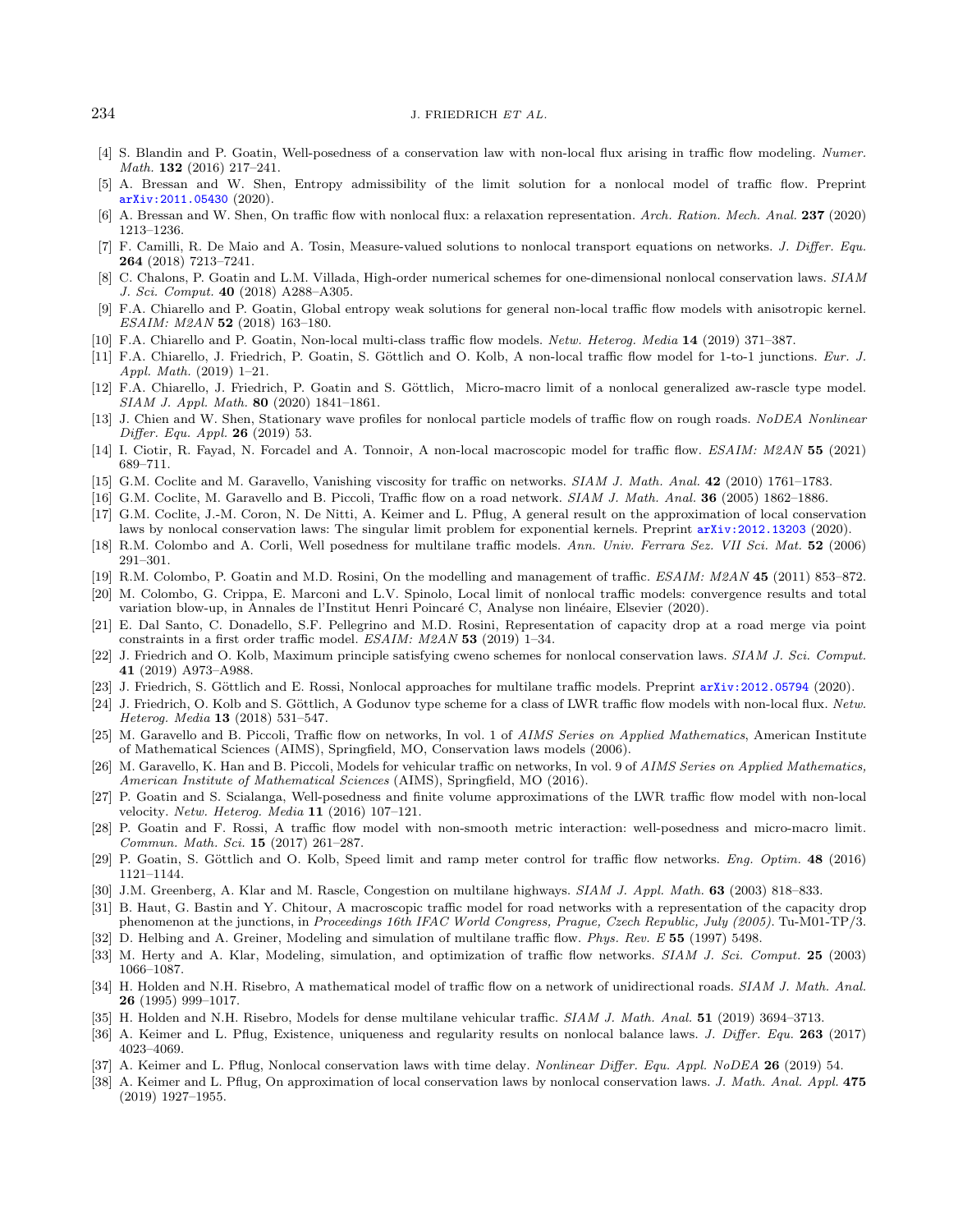- <span id="page-21-26"></span>[4] S. Blandin and P. Goatin, Well-posedness of a conservation law with non-local flux arising in traffic flow modeling. Numer. Math. 132 (2016) 217–241.
- <span id="page-21-27"></span>[5] A. Bressan and W. Shen, Entropy admissibility of the limit solution for a nonlocal model of traffic flow. Preprint [arXiv:2011.05430](https://arxiv.org/abs/2011.05430) (2020).
- <span id="page-21-15"></span>[6] A. Bressan and W. Shen, On traffic flow with nonlocal flux: a relaxation representation. Arch. Ration. Mech. Anal. 237 (2020) 1213–1236.
- <span id="page-21-34"></span>[7] F. Camilli, R. De Maio and A. Tosin, Measure-valued solutions to nonlocal transport equations on networks. J. Differ. Equ. 264 (2018) 7213–7241.
- <span id="page-21-23"></span><span id="page-21-5"></span>[8] C. Chalons, P. Goatin and L.M. Villada, High-order numerical schemes for one-dimensional nonlocal conservation laws. SIAM J. Sci. Comput. 40 (2018) A288–A305.
- <span id="page-21-0"></span>[9] F.A. Chiarello and P. Goatin, Global entropy weak solutions for general non-local traffic flow models with anisotropic kernel. ESAIM: M2AN 52 (2018) 163–180.
- <span id="page-21-9"></span>[10] F.A. Chiarello and P. Goatin, Non-local multi-class traffic flow models. Netw. Heterog. Media 14 (2019) 371–387.
- <span id="page-21-24"></span>[11] F.A. Chiarello, J. Friedrich, P. Goatin, S. Göttlich and O. Kolb, A non-local traffic flow model for 1-to-1 junctions. Eur. J. Appl. Math. (2019) 1–21.
- <span id="page-21-10"></span>[12] F.A. Chiarello, J. Friedrich, P. Goatin and S. Göttlich, Micro-macro limit of a nonlocal generalized aw-rascle type model. SIAM J. Appl. Math. 80 (2020) 1841–1861.
- <span id="page-21-20"></span>[13] J. Chien and W. Shen, Stationary wave profiles for nonlocal particle models of traffic flow on rough roads. NoDEA Nonlinear Differ. Equ. Appl. 26 (2019) 53.
- <span id="page-21-30"></span>[14] I. Ciotir, R. Fayad, N. Forcadel and A. Tonnoir, A non-local macroscopic model for traffic flow. ESAIM: M2AN 55 (2021) 689–711.
- <span id="page-21-16"></span>[15] G.M. Coclite and M. Garavello, Vanishing viscosity for traffic on networks. SIAM J. Math. Anal. 42 (2010) 1761–1783.
- <span id="page-21-6"></span>[16] G.M. Coclite, M. Garavello and B. Piccoli, Traffic flow on a road network. SIAM J. Math. Anal. 36 (2005) 1862-1886.
- [17] G.M. Coclite, J.-M. Coron, N. De Nitti, A. Keimer and L. Pflug, A general result on the approximation of local conservation laws by nonlocal conservation laws: The singular limit problem for exponential kernels. Preprint [arXiv:2012.13203](https://arxiv.org/abs/2012.13203) (2020).
- <span id="page-21-7"></span>[18] R.M. Colombo and A. Corli, Well posedness for multilane traffic models. Ann. Univ. Ferrara Sez. VII Sci. Mat. 52 (2006) 291–301.
- <span id="page-21-17"></span>[19] R.M. Colombo, P. Goatin and M.D. Rosini, On the modelling and management of traffic. ESAIM: M2AN 45 (2011) 853–872.
- <span id="page-21-28"></span>[20] M. Colombo, G. Crippa, E. Marconi and L.V. Spinolo, Local limit of nonlocal traffic models: convergence results and total variation blow-up, in Annales de l'Institut Henri Poincaré C, Analyse non linéaire, Elsevier (2020).
- <span id="page-21-11"></span>[21] E. Dal Santo, C. Donadello, S.F. Pellegrino and M.D. Rosini, Representation of capacity drop at a road merge via point constraints in a first order traffic model. ESAIM: M2AN 53 (2019) 1–34.
- <span id="page-21-1"></span>[22] J. Friedrich and O. Kolb, Maximum principle satisfying cweno schemes for nonlocal conservation laws. SIAM J. Sci. Comput. 41 (2019) A973–A988.
- <span id="page-21-12"></span>[23] J. Friedrich, S. Göttlich and E. Rossi, Nonlocal approaches for multilane traffic models. Preprint [arXiv:2012.05794](https://arxiv.org/abs/2012.05794) (2020).
- <span id="page-21-2"></span>[24] J. Friedrich, O. Kolb and S. Göttlich, A Godunov type scheme for a class of LWR traffic flow models with non-local flux. Netw. Heterog. Media 13 (2018) 531–547.
- <span id="page-21-3"></span>[25] M. Garavello and B. Piccoli, Traffic flow on networks, In vol. 1 of AIMS Series on Applied Mathematics, American Institute of Mathematical Sciences (AIMS), Springfield, MO, Conservation laws models (2006).
- <span id="page-21-8"></span>[26] M. Garavello, K. Han and B. Piccoli, Models for vehicular traffic on networks, In vol. 9 of AIMS Series on Applied Mathematics, American Institute of Mathematical Sciences (AIMS), Springfield, MO (2016).
- <span id="page-21-18"></span><span id="page-21-4"></span>[27] P. Goatin and S. Scialanga, Well-posedness and finite volume approximations of the LWR traffic flow model with non-local velocity. Netw. Heterog. Media 11 (2016) 107–121.
- <span id="page-21-31"></span>[28] P. Goatin and F. Rossi, A traffic flow model with non-smooth metric interaction: well-posedness and micro-macro limit. Commun. Math. Sci. 15 (2017) 261–287.
- <span id="page-21-25"></span>[29] P. Goatin, S. Göttlich and O. Kolb, Speed limit and ramp meter control for traffic flow networks. Eng. Optim. 48 (2016) 1121–1144.
- [30] J.M. Greenberg, A. Klar and M. Rascle, Congestion on multilane highways. SIAM J. Appl. Math. 63 (2003) 818–833.
- [31] B. Haut, G. Bastin and Y. Chitour, A macroscopic traffic model for road networks with a representation of the capacity drop phenomenon at the junctions, in Proceedings 16th IFAC World Congress, Prague, Czech Republic, July (2005). Tu-M01-TP/3.
- [32] D. Helbing and A. Greiner, Modeling and simulation of multilane traffic flow. Phys. Rev. E 55 (1997) 5498.
- [33] M. Herty and A. Klar, Modeling, simulation, and optimization of traffic flow networks. SIAM J. Sci. Comput. 25 (2003) 1066–1087.
- [34] H. Holden and N.H. Risebro, A mathematical model of traffic flow on a network of unidirectional roads. SIAM J. Math. Anal. 26 (1995) 999–1017.
- [35] H. Holden and N.H. Risebro, Models for dense multilane vehicular traffic. SIAM J. Math. Anal. 51 (2019) 3694-3713.
- [36] A. Keimer and L. Pflug, Existence, uniqueness and regularity results on nonlocal balance laws. J. Differ. Equ. 263 (2017) 4023–4069.
- [37] A. Keimer and L. Pflug, Nonlocal conservation laws with time delay. Nonlinear Differ. Equ. Appl. NoDEA 26 (2019) 54.
- [38] A. Keimer and L. Pflug, On approximation of local conservation laws by nonlocal conservation laws. J. Math. Anal. Appl. 475 (2019) 1927–1955.

<span id="page-21-33"></span><span id="page-21-32"></span><span id="page-21-29"></span><span id="page-21-22"></span><span id="page-21-21"></span><span id="page-21-19"></span><span id="page-21-14"></span><span id="page-21-13"></span>